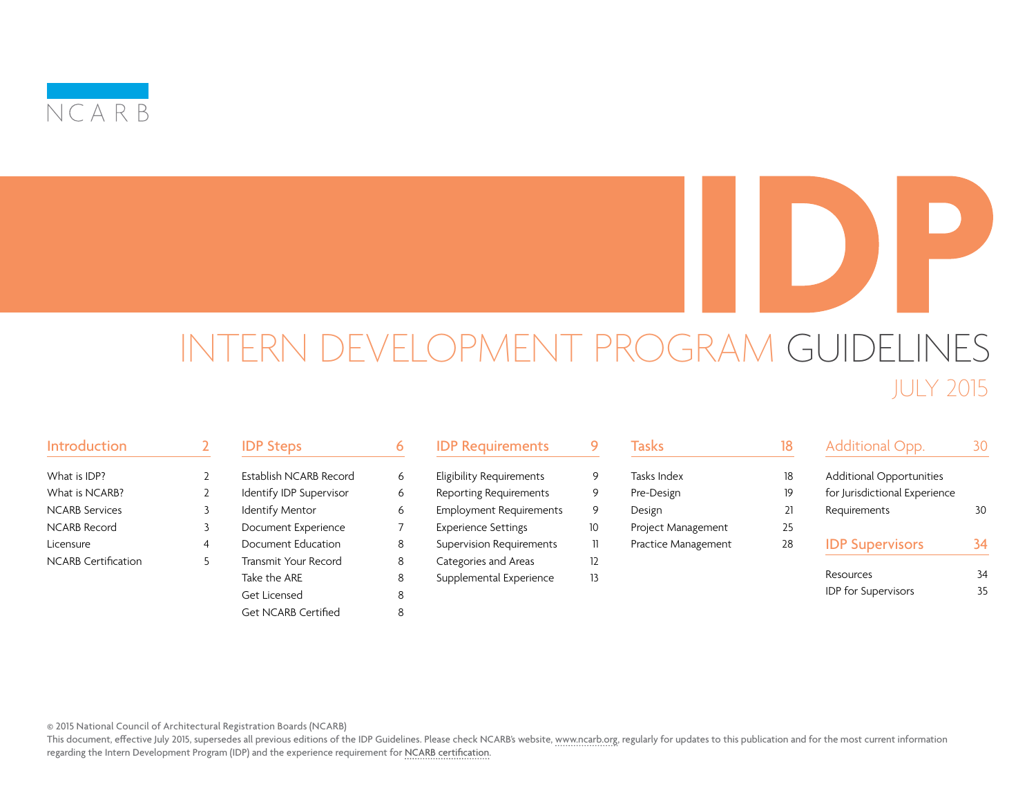<span id="page-0-0"></span>

D INTERN DEVELOPMENT PROGRAM GUIDELINES

# JULY 2015

# [Introduction](#page-1-0) 2

[What is IDP?](#page-1-0) 2 [What is NCARB?](#page-1-0) 2 [NCARB Services](#page-2-0) 3 [NCARB Record](#page-2-0) 3 [Licensure](#page-3-0) 4 [NCARB Certification](#page-4-0) 5

### **[IDP Steps](#page-5-0)** 6

| Establish NCARB Record     | 6 |
|----------------------------|---|
| Identify IDP Supervisor    | 6 |
| Identify Mentor            | 6 |
| Document Experience        | 7 |
| Document Education         | 8 |
| Transmit Your Record       | 8 |
| Take the ARE               | 8 |
| Get Licensed               | 8 |
| <b>Get NCARB Certified</b> | 8 |

### [IDP Requirements](#page-8-0) 9

| <b>Eligibility Requirements</b> | 9  |
|---------------------------------|----|
| <b>Reporting Requirements</b>   | 9  |
| <b>Employment Requirements</b>  | 9  |
| <b>Experience Settings</b>      | 10 |

[Supervision Requirements 11](#page-10-0)

- [Categories and Areas](#page-11-0) 12
	- [Supplemental Experience](#page-12-0) 13

| <b>Tasks</b>        |    |
|---------------------|----|
|                     |    |
| Tasks Index         | 18 |
| Pre-Design          | 19 |
| Design              | 21 |
| Project Management  | 25 |
| Practice Management | 28 |
|                     |    |
|                     |    |

| Additional Opp.               |    |
|-------------------------------|----|
| Additional Opportunities      |    |
| for Jurisdictional Experience |    |
| Requirements                  | 30 |
| <b>IDP Supervisors</b>        |    |
| Resources                     | 34 |
| <b>IDP</b> for Supervisors    | 35 |

© 2015 National Council of Architectural Registration Boards (NCARB)

This document, effective July 2015, supersedes all previous editions of the IDP Guidelines. Please check NCARB's website, [www.ncarb.org](http://www.ncarb.org), regularly for updates to this publication and for the most current information regarding the Intern Development Program (IDP) and the experience requirement for [NCARB certification](#page-4-0).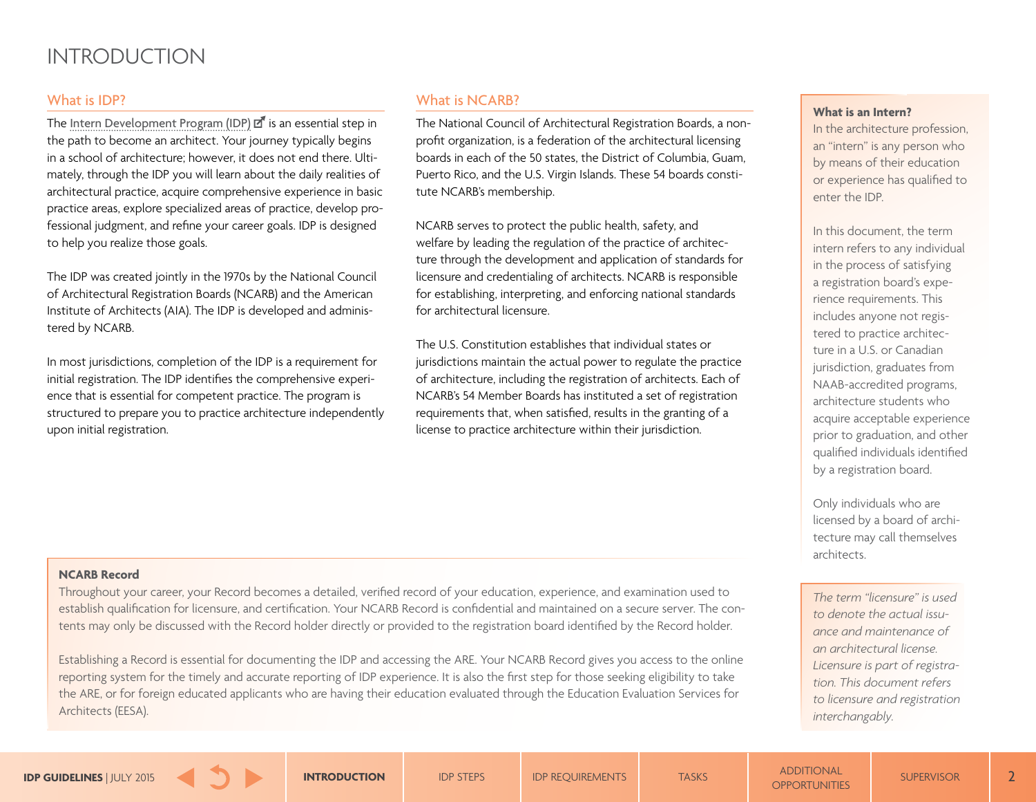# <span id="page-1-0"></span>INTRODUCTION

### What is IDP?

The [Intern Development Program \(IDP\)](http://www.ncarb.org/en/Experience-Through-Internships.aspx)  $\vec{a}^{\text{r}}$  is an essential step in the path to become an architect. Your journey typically begins in a school of architecture; however, it does not end there. Ultimately, through the IDP you will learn about the daily realities of architectural practice, acquire comprehensive experience in basic practice areas, explore specialized areas of practice, develop professional judgment, and refine your career goals. IDP is designed to help you realize those goals.

The IDP was created jointly in the 1970s by the National Council of Architectural Registration Boards (NCARB) and the American Institute of Architects (AIA). The IDP is developed and administered by NCARB.

In most jurisdictions, completion of the IDP is a requirement for initial registration. The IDP identifies the comprehensive experience that is essential for competent practice. The program is structured to prepare you to practice architecture independently upon initial registration.

### What is NCARB?

The National Council of Architectural Registration Boards, a nonprofit organization, is a federation of the architectural licensing boards in each of the 50 states, the District of Columbia, Guam, Puerto Rico, and the U.S. Virgin Islands. These 54 boards constitute NCARB's membership.

NCARB serves to protect the public health, safety, and welfare by leading the regulation of the practice of architecture through the development and application of standards for licensure and credentialing of architects. NCARB is responsible for establishing, interpreting, and enforcing national standards for architectural licensure.

The U.S. Constitution establishes that individual states or jurisdictions maintain the actual power to regulate the practice of architecture, including the registration of architects. Each of NCARB's 54 Member Boards has instituted a set of registration requirements that, when satisfied, results in the granting of a license to practice architecture within their jurisdiction.

#### **What is an Intern?**

In the architecture profession, an "intern" is any person who by means of their education or experience has qualified to enter the IDP.

In this document, the term intern refers to any individual in the process of satisfying a registration board's experience requirements. This includes anyone not registered to practice architecture in a U.S. or Canadian jurisdiction, graduates from NAAB-accredited programs, architecture students who acquire acceptable experience prior to graduation, and other qualified individuals identified by a registration board.

Only individuals who are licensed by a board of architecture may call themselves architects.

*The term "licensure" is used to denote the actual issuance and maintenance of an architectural license. Licensure is part of registration. This document refers to licensure and registration interchangably.*

#### **NCARB Record**

Throughout your career, your Record becomes a detailed, verified record of your education, experience, and examination used to establish qualification for licensure, and certification. Your NCARB Record is confidential and maintained on a secure server. The contents may only be discussed with the Record holder directly or provided to the registration board identified by the Record holder.

Establishing a Record is essential for documenting the IDP and accessing the ARE. Your NCARB Record gives you access to the online reporting system for the timely and accurate reporting of IDP experience. It is also the first step for those seeking eligibility to take the ARE, or for foreign educated applicants who are having their education evaluated through the Education Evaluation Services for Architects (EESA).

ADDITIONAL<br>OPPORTUNITIES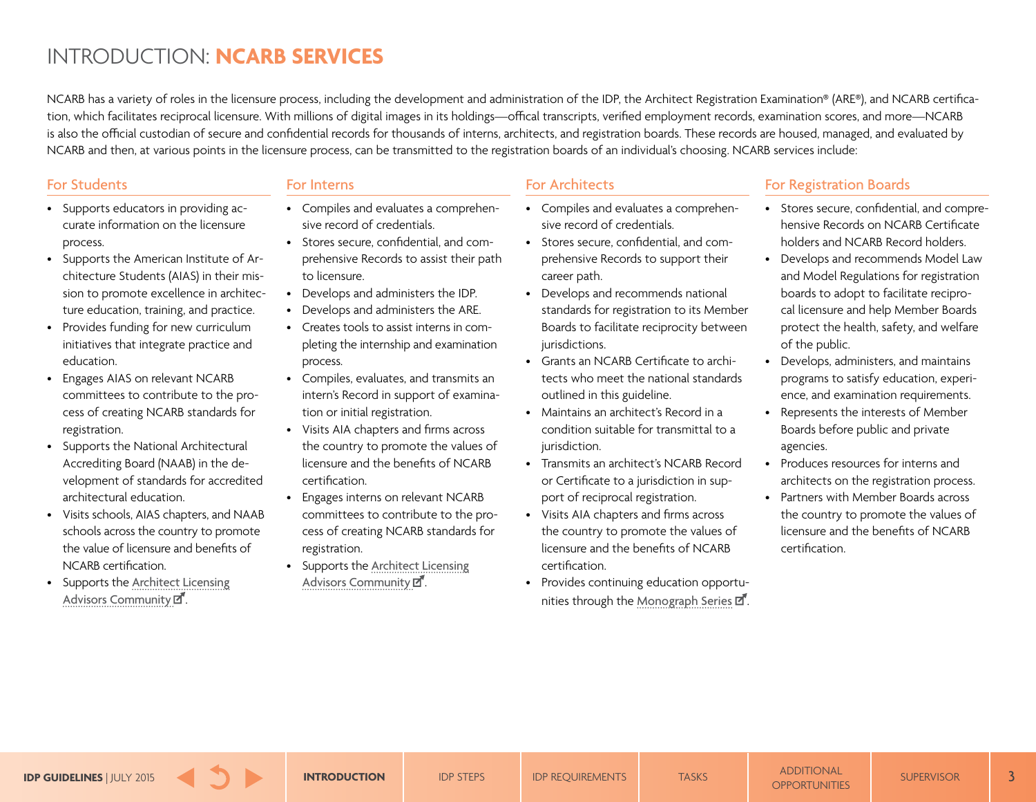# <span id="page-2-0"></span>INTRODUCTION: **NCARB SERVICES**

NCARB has a variety of roles in the licensure process, including the development and administration of the IDP, the Architect Registration Examination® (ARE®), and NCARB certification, which facilitates reciprocal licensure. With millions of digital images in its holdings—offical transcripts, verified employment records, examination scores, and more—NCARB is also the official custodian of secure and confidential records for thousands of interns, architects, and registration boards. These records are housed, managed, and evaluated by NCARB and then, at various points in the licensure process, can be transmitted to the registration boards of an individual's choosing. NCARB services include:

### For Students

- Supports educators in providing accurate information on the licensure process.
- Supports the American Institute of Architecture Students (AIAS) in their mission to promote excellence in architecture education, training, and practice.
- Provides funding for new curriculum initiatives that integrate practice and education.
- Engages AIAS on relevant NCARB committees to contribute to the process of creating NCARB standards for registration.
- Supports the National Architectural Accrediting Board (NAAB) in the development of standards for accredited architectural education.
- Visits schools, AIAS chapters, and NAAB schools across the country to promote the value of licensure and benefits of NCARB certification.
- Supports the [Architect Licensing](http://www.ncarb.org/Experience-Through-Internships/IDP-Coordinators.aspx) [Advisors Community](http://www.ncarb.org/Experience-Through-Internships/IDP-Coordinators.aspx)  $\vec{a}$ .

#### For Interns

- Compiles and evaluates a comprehensive record of credentials.
- Stores secure, confidential, and comprehensive Records to assist their path to licensure.
- Develops and administers the IDP.
- Develops and administers the ARE.
- Creates tools to assist interns in completing the internship and examination process.
- Compiles, evaluates, and transmits an intern's Record in support of examination or initial registration.
- Visits AIA chapters and firms across the country to promote the values of licensure and the benefits of NCARB certification.
- Engages interns on relevant NCARB committees to contribute to the process of creating NCARB standards for registration.
- Supports the [Architect Licensing](http://www.ncarb.org/Experience-Through-Internships/IDP-Coordinators.aspx) [Advisors Community](http://www.ncarb.org/Experience-Through-Internships/IDP-Coordinators.aspx)  $\vec{a}$ .

### For Architects

- Compiles and evaluates a comprehensive record of credentials.
- Stores secure, confidential, and comprehensive Records to support their career path.
- Develops and recommends national standards for registration to its Member Boards to facilitate reciprocity between jurisdictions.
- Grants an NCARB Certificate to architects who meet the national standards outlined in this guideline.
- Maintains an architect's Record in a condition suitable for transmittal to a jurisdiction.
- Transmits an architect's NCARB Record or Certificate to a jurisdiction in support of reciprocal registration.
- Visits AIA chapters and firms across the country to promote the values of licensure and the benefits of NCARB certification.
- Provides continuing education opportu-nities through the [Monograph Series](https://monographs.ncarb.org/) d'.

# For Registration Boards

- Stores secure, confidential, and comprehensive Records on NCARB Certificate holders and NCARB Record holders.
- Develops and recommends Model Law and Model Regulations for registration boards to adopt to facilitate reciprocal licensure and help Member Boards protect the health, safety, and welfare of the public.
- Develops, administers, and maintains programs to satisfy education, experience, and examination requirements.
- Represents the interests of Member Boards before public and private agencies.
- Produces resources for interns and architects on the registration process.
- Partners with Member Boards across the country to promote the values of licensure and the benefits of NCARB certification.

**[IDP GUIDELINES](#page-0-0)** | JULY 2015 **[INTRODUCTION](#page-1-0)** IDP STEPS IDP REQUIREMENTS TASKS [OPPORTUNITIES](#page-29-0) [SUPERVISOR](#page-33-0) 3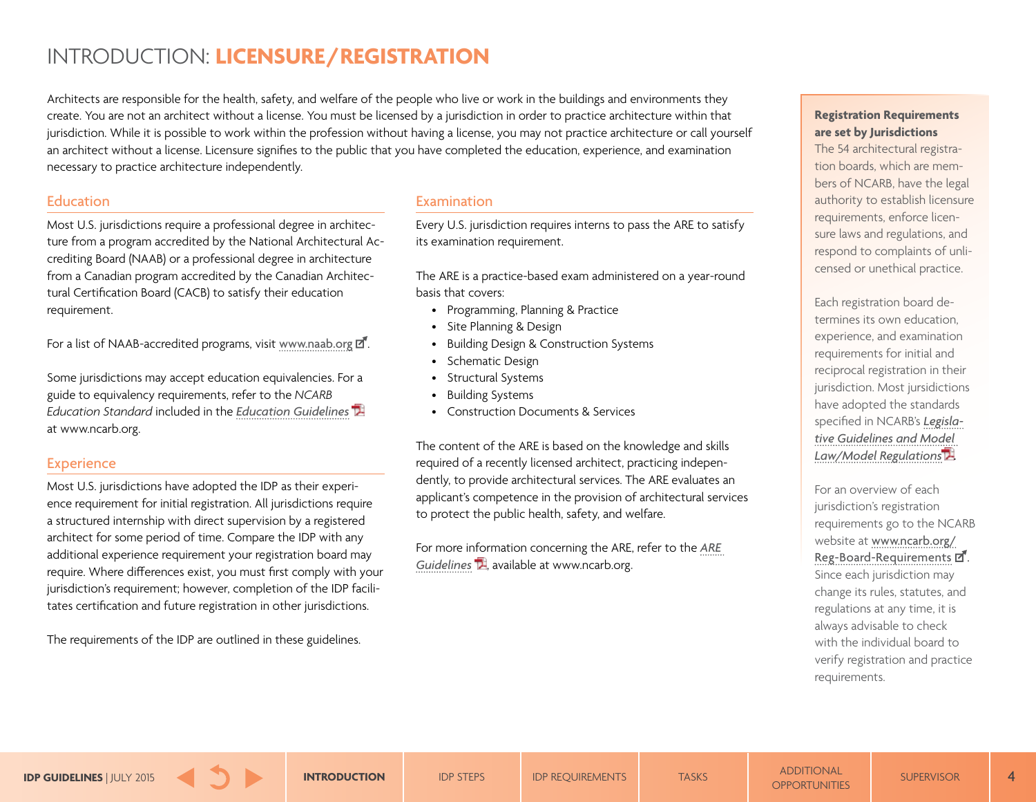# <span id="page-3-0"></span>INTRODUCTION: **LICENSURE/REGISTRATION**

Architects are responsible for the health, safety, and welfare of the people who live or work in the buildings and environments they create. You are not an architect without a license. You must be licensed by a jurisdiction in order to practice architecture within that jurisdiction. While it is possible to work within the profession without having a license, you may not practice architecture or call yourself an architect without a license. Licensure signifies to the public that you have completed the education, experience, and examination necessary to practice architecture independently.

### Education

Most U.S. jurisdictions require a professional degree in architecture from a program accredited by the National Architectural Accrediting Board (NAAB) or a professional degree in architecture from a Canadian program accredited by the Canadian Architectural Certification Board (CACB) to satisfy their education requirement.

For a list of NAAB-accredited programs, visit www[.naab.org](http://www.naab.org/r/schools/search.aspx?searchtype=A)  $\vec{a}$ .

Some jurisdictions may accept education equivalencies. For a guide to equivalency requirements, refer to the *NCARB Education Standard* included in the *[Education Guidelines](http://www.ncarb.org/~/media/Files/PDF/Guidelines/EDU_Guidelines.pdf)* at www.ncarb.org.

#### **Experience**

Most U.S. jurisdictions have adopted the IDP as their experience requirement for initial registration. All jurisdictions require a structured internship with direct supervision by a registered architect for some period of time. Compare the IDP with any additional experience requirement your registration board may require. Where differences exist, you must first comply with your jurisdiction's requirement; however, completion of the IDP facilitates certification and future registration in other jurisdictions.

The requirements of the IDP are outlined in these guidelines.

#### Examination

Every U.S. jurisdiction requires interns to pass the ARE to satisfy its examination requirement.

The ARE is a practice-based exam administered on a year-round basis that covers:

- Programming, Planning & Practice
- Site Planning & Design
- Building Design & Construction Systems
- Schematic Design
- Structural Systems
- Building Systems
- Construction Documents & Services

The content of the ARE is based on the knowledge and skills required of a recently licensed architect, practicing independently, to provide architectural services. The ARE evaluates an applicant's competence in the provision of architectural services to protect the public health, safety, and welfare.

For more information concerning the ARE, refer to the *[ARE](http://www.ncarb.org/ARE/Preparing-for-the-ARE/~/media/Files/PDF/Guidelines/ARE_Guidelines.pdf)*  [Guidelines](http://www.ncarb.org/ARE/Preparing-for-the-ARE/~/media/Files/PDF/Guidelines/ARE_Guidelines.pdf)<sup>1</sup>, available at www.ncarb.org.

#### **Registration Requirements are set by Jurisdictions**

The 54 architectural registration boards, which are members of NCARB, have the legal authority to establish licensure requirements, enforce licensure laws and regulations, and respond to complaints of unlicensed or unethical practice.

Each registration board determines its own education, experience, and examination requirements for initial and reciprocal registration in their jurisdiction. Most jursidictions have adopted the standards specified in NCARB's *[Legisla](http://www.ncarb.org/Publications/~/media/Files/PDF/Special-Paper/Legislative_Guidelines.pdf)[tive Guidelines and Model](http://www.ncarb.org/Publications/~/media/Files/PDF/Special-Paper/Legislative_Guidelines.pdf)  [Law/Model Regulations](http://www.ncarb.org/Publications/~/media/Files/PDF/Special-Paper/Legislative_Guidelines.pdf) .*

For an overview of each jurisdiction's registration requirements go to the NCARB website at [www.ncarb.org/](http://www.ncarb.org/Getting-an-Initial-License/Registration-Board-Requirements.aspx) [Reg-Board-Requirements](http://www.ncarb.org/Getting-an-Initial-License/Registration-Board-Requirements.aspx)  $\vec{a}$ . Since each jurisdiction may change its rules, statutes, and regulations at any time, it is always advisable to check with the individual board to verify registration and practice requirements.

**[IDP GUIDELINES](#page-0-0)** | JULY 2015 **[INTRODUCTION](#page-1-0)** [IDP STEPS](#page-5-0) [IDP REQUIREMENTS](#page-8-0) [TASKS](#page-17-0) | ADDITIONAL [SUPERVISOR](#page-33-0) | 4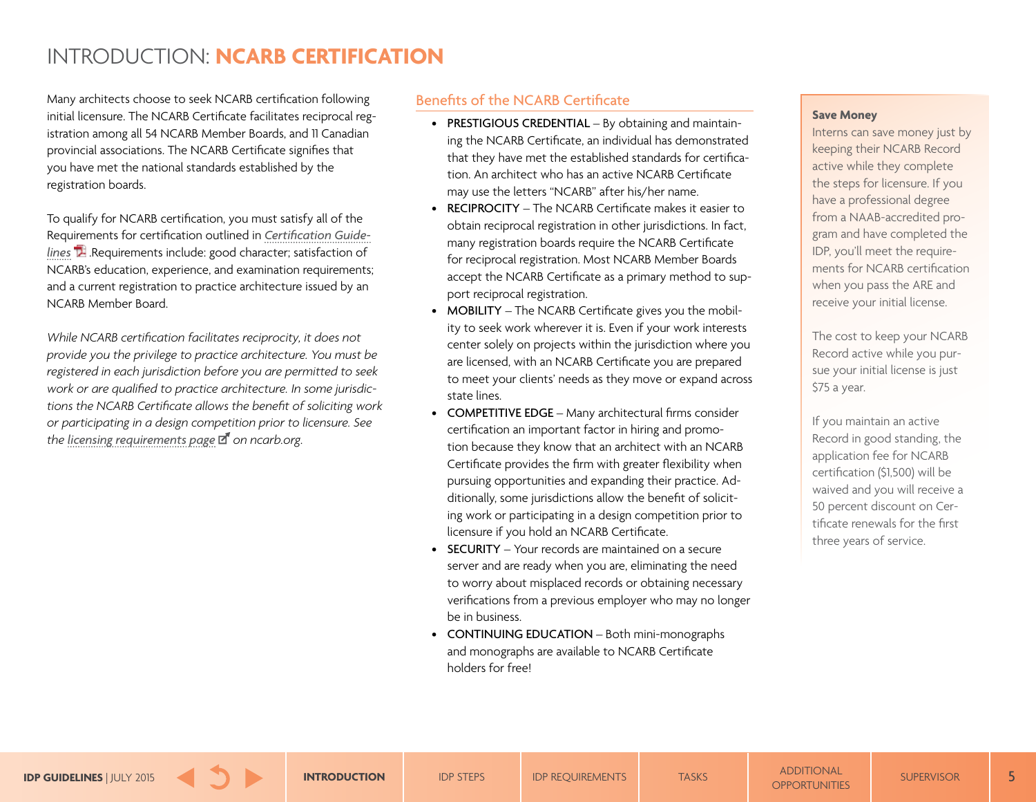# <span id="page-4-0"></span>INTRODUCTION: **NCARB CERTIFICATION**

Many architects choose to seek NCARB certification following initial licensure. The NCARB Certificate facilitates reciprocal registration among all 54 NCARB Member Boards, and 11 Canadian provincial associations. The NCARB Certificate signifies that you have met the national standards established by the registration boards.

To qualify for NCARB certification, you must satisfy all of the Requirements for certification outlined in *[Certification Guide](http://www.ncarb.org/Certification-and-Reciprocity/Certification-Overview/~/media/Files/PDF/Guidelines/Cert_Guidelines.ashx)*[lines](http://www.ncarb.org/Certification-and-Reciprocity/Certification-Overview/~/media/Files/PDF/Guidelines/Cert_Guidelines.ashx)<sup>-</sup> **R**. Requirements include: good character; satisfaction of NCARB's education, experience, and examination requirements; and a current registration to practice architecture issued by an NCARB Member Board.

*While NCARB certification facilitates reciprocity, it does not provide you the privilege to practice architecture. You must be registered in each jurisdiction before you are permitted to seek work or are qualified to practice architecture. In some jurisdictions the NCARB Certificate allows the benefit of soliciting work or participating in a design competition prior to licensure. See the [licensing requirements page](http://www.ncarb.org/Getting-an-Initial-License/Registration-Board-Requirements.aspx) on ncarb.org.*

### Benefits of the NCARB Certificate

- PRESTIGIOUS CREDENTIAL By obtaining and maintaining the NCARB Certificate, an individual has demonstrated that they have met the established standards for certification. An architect who has an active NCARB Certificate may use the letters "NCARB" after his/her name.
- RECIPROCITY The NCARB Certificate makes it easier to obtain reciprocal registration in other jurisdictions. In fact, many registration boards require the NCARB Certificate for reciprocal registration. Most NCARB Member Boards accept the NCARB Certificate as a primary method to support reciprocal registration.
- MOBILITY The NCARB Certificate gives you the mobility to seek work wherever it is. Even if your work interests center solely on projects within the jurisdiction where you are licensed, with an NCARB Certificate you are prepared to meet your clients' needs as they move or expand across state lines.
- COMPETITIVE EDGE Many architectural firms consider certification an important factor in hiring and promotion because they know that an architect with an NCARB Certificate provides the firm with greater flexibility when pursuing opportunities and expanding their practice. Additionally, some jurisdictions allow the benefit of soliciting work or participating in a design competition prior to licensure if you hold an NCARB Certificate.
- SECURITY Your records are maintained on a secure server and are ready when you are, eliminating the need to worry about misplaced records or obtaining necessary verifications from a previous employer who may no longer be in business.
- CONTINUING EDUCATION Both mini-monographs and monographs are available to NCARB Certificate holders for free!

#### **Save Money**

Interns can save money just by keeping their NCARB Record active while they complete the steps for licensure. If you have a professional degree from a NAAB-accredited program and have completed the IDP, you'll meet the requirements for NCARB certification when you pass the ARE and receive your initial license.

The cost to keep your NCARB Record active while you pursue your initial license is just \$75 a year.

If you maintain an active Record in good standing, the application fee for NCARB certification (\$1,500) will be waived and you will receive a 50 percent discount on Certificate renewals for the first three years of service.

**[IDP GUIDELINES](#page-0-0)** | JULY 2015 **[INTRODUCTION](#page-1-0)** IDP STEPS IDP REQUIREMENTS TASKS [OPPORTUNITIES](#page-29-0) [SUPERVISOR](#page-33-0) 5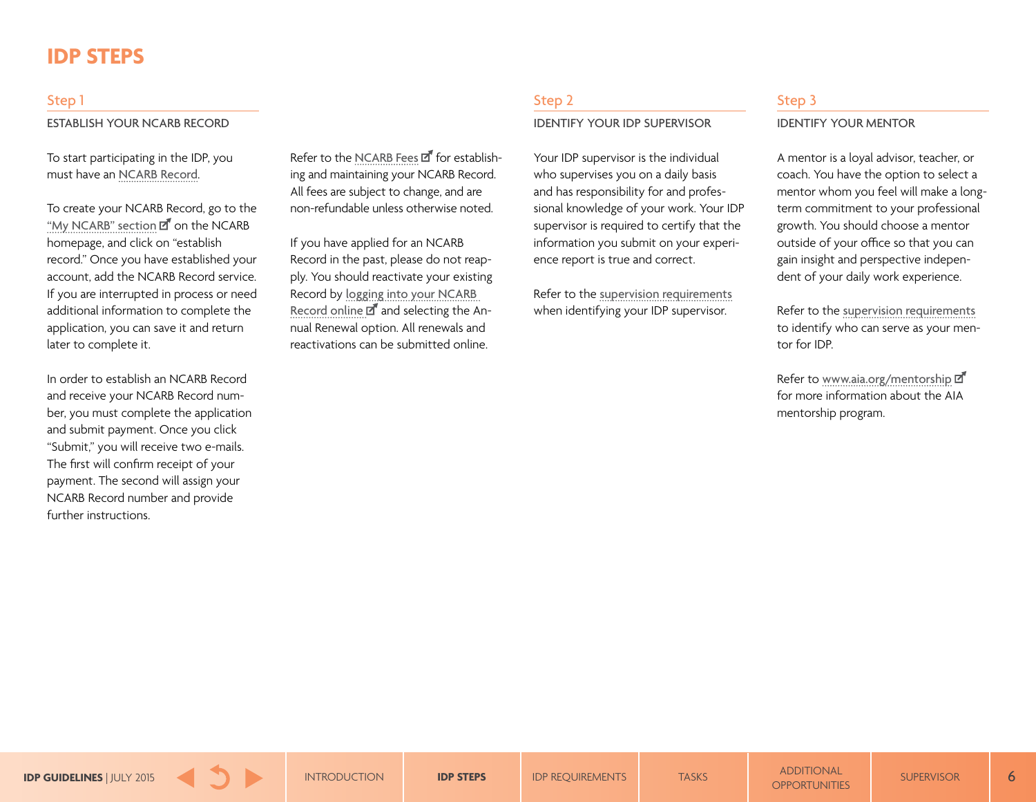# <span id="page-5-0"></span>**IDP STEPS**

#### Step 1

ESTABLISH YOUR NCARB RECORD

To start participating in the IDP, you must have an [NCARB Record](#page-2-0).

To create your NCARB Record, go to the ["My NCARB" section](https://my.ncarb.org/)  $\overline{d}$  on the NCARB homepage, and click on "establish record." Once you have established your account, add the NCARB Record service. If you are interrupted in process or need additional information to complete the application, you can save it and return later to complete it.

In order to establish an NCARB Record and receive your NCARB Record number, you must complete the application and submit payment. Once you click "Submit," you will receive two e-mails. The first will confirm receipt of your payment. The second will assign your NCARB Record number and provide further instructions.

Refer to the [NCARB Fees](http://www.ncarb.org/Getting-an-Initial-License/NCARB-Fees.aspx)  $\overline{a}$  for establishing and maintaining your NCARB Record. All fees are subject to change, and are non-refundable unless otherwise noted.

If you have applied for an NCARB Record in the past, please do not reapply. You should reactivate your existing Record by [logging into your NCARB](https://my.ncarb.org/)  [Record online](https://my.ncarb.org/)  $\mathbb{Z}^n$  and selecting the Annual Renewal option. All renewals and reactivations can be submitted online.

### Step 2

#### IDENTIFY YOUR IDP SUPERVISOR

Your IDP supervisor is the individual who supervises you on a daily basis and has responsibility for and professional knowledge of your work. Your IDP supervisor is required to certify that the information you submit on your experience report is true and correct.

Refer to the [supervision requirements](#page-10-0) when identifying your IDP supervisor.

#### Step 3

#### IDENTIFY YOUR MENTOR

A mentor is a loyal advisor, teacher, or coach. You have the option to select a mentor whom you feel will make a longterm commitment to your professional growth. You should choose a mentor outside of your office so that you can gain insight and perspective independent of your daily work experience.

Refer to the [supervision requirements](#page-10-0) to identify who can serve as your mentor for IDP.

Refer to [www.aia.org/mentorship](http://www.aia.org/mentorship) for more information about the AIA mentorship program.

**[IDP GUIDELINES](#page-0-0)** | JULY 2015 **IDP STEPS** IDP STEPS IDP REQUIREMENTS TASKS TASKS [OPPORTUNITIES](#page-29-0) [SUPERVISOR](#page-33-0) 6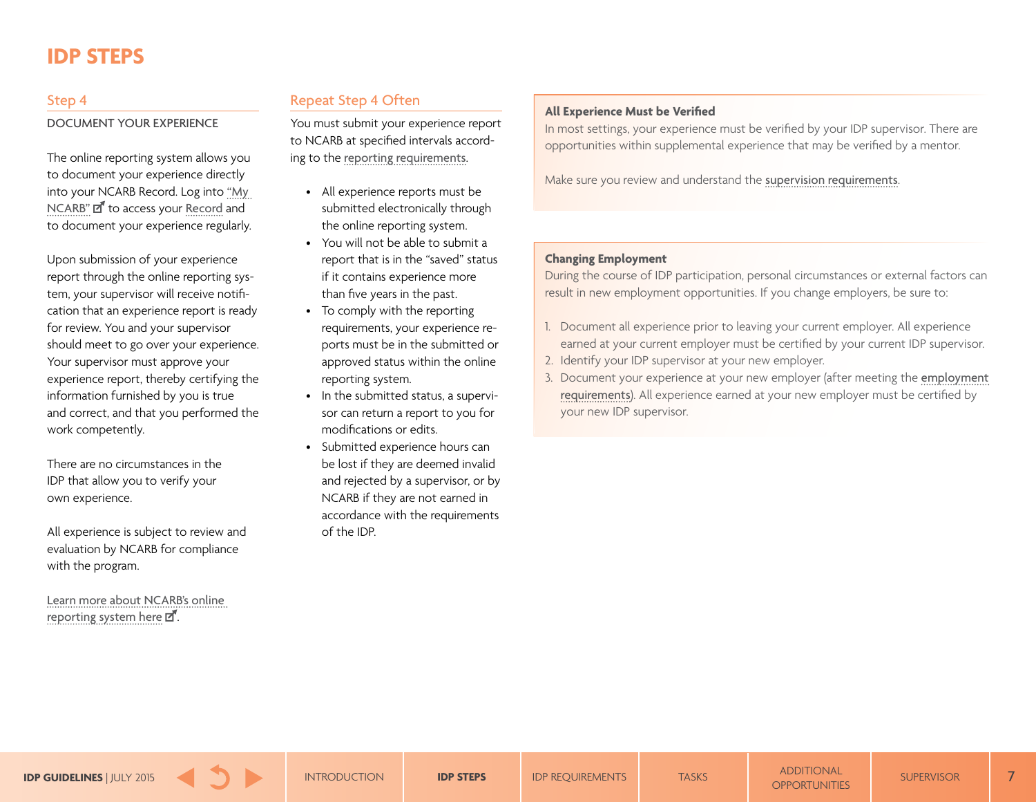# <span id="page-6-0"></span>**IDP STEPS**

#### Step 4

#### DOCUMENT YOUR EXPERIENCE

The online reporting system allows you to document your experience directly into your NCARB Record. Log into ["My](https://my.ncarb.org/)  [NCARB"](https://my.ncarb.org/) **d'** to access your [Record](#page-2-0) and to document your experience regularly.

Upon submission of your experience report through the online reporting system, your supervisor will receive notification that an experience report is ready for review. You and your supervisor should meet to go over your experience. Your supervisor must approve your experience report, thereby certifying the information furnished by you is true and correct, and that you performed the work competently.

There are no circumstances in the IDP that allow you to verify your own experience.

All experience is subject to review and evaluation by NCARB for compliance with the program.

[Learn more about NCARB's online](http://www.ncarb.org/Experience-Through-Internships/Maintaining-Participation/online-reporting-system/Intern-instructions.aspx)  [reporting system here](http://www.ncarb.org/Experience-Through-Internships/Maintaining-Participation/online-reporting-system/Intern-instructions.aspx)  $\mathbb{Z}$ .

# Repeat Step 4 Often

You must submit your experience report to NCARB at specified intervals according to the [reporting requirements](#page-8-0).

- All experience reports must be submitted electronically through the online reporting system.
- You will not be able to submit a report that is in the "saved" status if it contains experience more than five years in the past.
- To comply with the reporting requirements, your experience reports must be in the submitted or approved status within the online reporting system.
- In the submitted status, a supervisor can return a report to you for modifications or edits.
- Submitted experience hours can be lost if they are deemed invalid and rejected by a supervisor, or by NCARB if they are not earned in accordance with the requirements of the IDP.

#### **All Experience Must be Verified**

In most settings, your experience must be verified by your IDP supervisor. There are opportunities within supplemental experience that may be verified by a mentor.

Make sure you review and understand the s[upervision requirements](#page-10-0).

#### **Changing Employment**

During the course of IDP participation, personal circumstances or external factors can result in new employment opportunities. If you change employers, be sure to:

- 1. Document all experience prior to leaving your current employer. All experience earned at your current employer must be certified by your current IDP supervisor.
- 2. Identify your IDP supervisor at your new employer.
- 3. Document your experience at your new employer (after meeting the [employment](#page-8-0)  [requirements](#page-8-0)). All experience earned at your new employer must be certified by your new IDP supervisor.

**[IDP GUIDELINES](#page-0-0)** | JULY 2015 **[IDP STEPS](#page-5-0)** IDP STEPS IDP REQUIREMENTS TASKS [OPPORTUNITIES](#page-29-0) [SUPERVISOR](#page-33-0) 7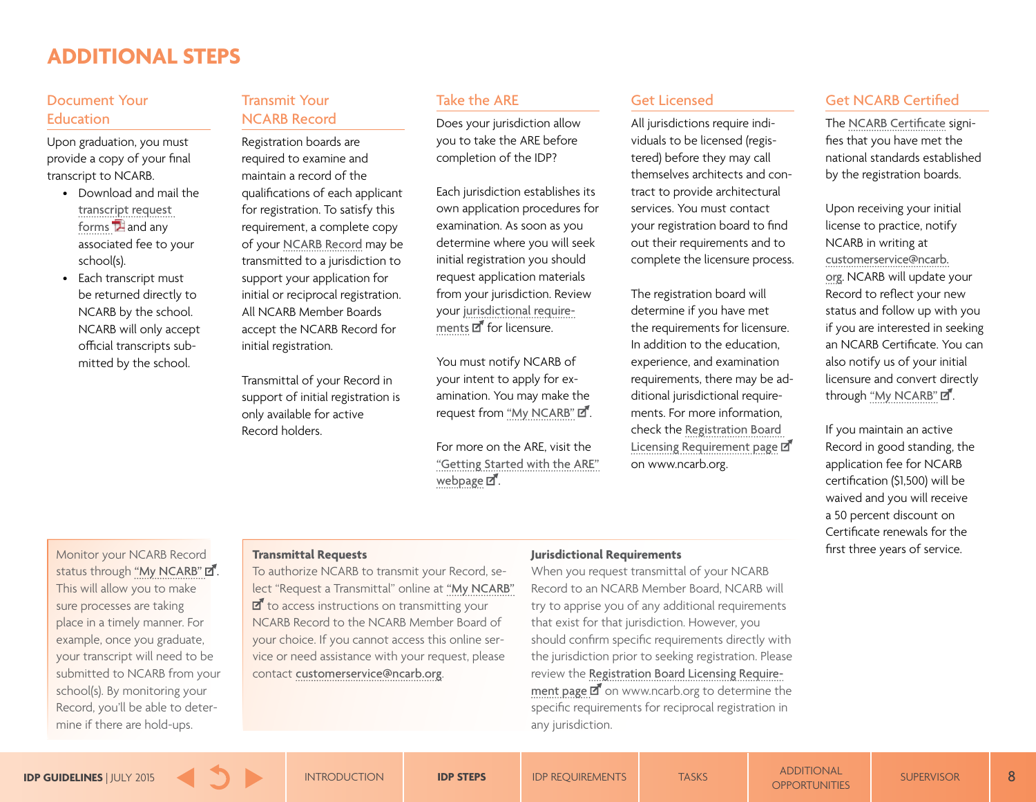# <span id="page-7-0"></span>**ADDITIONAL STEPS**

### Document Your Education

Upon graduation, you must provide a copy of your final transcript to NCARB.

- Download and mail the [transcript request](http://www.ncarb.org/Publications/~/media/Files/PDF/Applications-Forms/Form122_EducationForm.pdf)  [forms](http://www.ncarb.org/Publications/~/media/Files/PDF/Applications-Forms/Form122_EducationForm.pdf)  $\overline{1}$  and any associated fee to your school(s).
- Each transcript must be returned directly to NCARB by the school. NCARB will only accept official transcripts submitted by the school.

# Transmit Your NCARB Record

Registration boards are required to examine and maintain a record of the qualifications of each applicant for registration. To satisfy this requirement, a complete copy of your [NCARB Record](#page-2-0) may be transmitted to a jurisdiction to support your application for initial or reciprocal registration. All NCARB Member Boards accept the NCARB Record for initial registration.

Transmittal of your Record in support of initial registration is only available for active Record holders.

### Take the ARE

Does your jurisdiction allow you to take the ARE before completion of the IDP?

Each jurisdiction establishes its own application procedures for examination. As soon as you determine where you will seek initial registration you should request application materials from your jurisdiction. Review your [jurisdictional require](http://www.ncarb.org/Getting-an-Initial-License/Registration-Board-Requirements.aspx)[ments](http://www.ncarb.org/Getting-an-Initial-License/Registration-Board-Requirements.aspx)  $\mathbb{Z}^n$  for licensure.

You must notify NCARB of your intent to apply for examination. You may make the request from ["My NCARB"](https://my.ncarb.org/)  $\overline{a}$ .

For more on the ARE, visit the ["Getting Started with the ARE"](http://www.ncarb.org/en/ARE/Getting-Started-With-the-ARE.aspx) [webpage](http://www.ncarb.org/en/ARE/Getting-Started-With-the-ARE.aspx)  $\mathbb{Z}$ .

### Get Licensed

All jurisdictions require individuals to be licensed (registered) before they may call themselves architects and contract to provide architectural services. You must contact your registration board to find out their requirements and to complete the licensure process.

The registration board will determine if you have met the requirements for licensure. In addition to the education, experience, and examination requirements, there may be additional jurisdictional requirements. For more information, check the [Registration Board](http://www.ncarb.org/Getting-an-Initial-License/Registration-Board-Requirements.aspx)  [Licensing Requirement page](http://www.ncarb.org/Getting-an-Initial-License/Registration-Board-Requirements.aspx) **d'** on www.ncarb.org.

# Get NCARB Certified

The [NCARB Certificate](#page-4-0) signifies that you have met the national standards established by the registration boards.

Upon receiving your initial license to practice, notify NCARB in writing at [customerservice@ncarb.](mailto:customerservice@ncarb.org) [org](mailto:customerservice@ncarb.org). NCARB will update your Record to reflect your new status and follow up with you if you are interested in seeking an NCARB Certificate. You can also notify us of your initial licensure and convert directly through "[My NCARB"](https://my.ncarb.org/)  $\overline{a}$ .

If you maintain an active Record in good standing, the application fee for NCARB certification (\$1,500) will be waived and you will receive a 50 percent discount on Certificate renewals for the first three years of service.

Monitor your NCARB Record status through ["My NCARB"](https://my.ncarb.org/) D. This will allow you to make sure processes are taking place in a timely manner. For example, once you graduate, your transcript will need to be submitted to NCARB from your school(s). By monitoring your Record, you'll be able to determine if there are hold-ups.

### **Transmittal Requests**

To authorize NCARB to transmit your Record, select "Request a Transmittal" online at ["My NCARB"](https://my.ncarb.org/Login)  $\overline{z}$  to access instructions on transmitting your NCARB Record to the NCARB Member Board of your choice. If you cannot access this online service or need assistance with your request, please contact [customerservice@ncarb.org](mailto:customerservice%40ncarb.org?subject=Transmittal%20Request%20Help).

#### **Jurisdictional Requirements**

When you request transmittal of your NCARB Record to an NCARB Member Board, NCARB will try to apprise you of any additional requirements that exist for that jurisdiction. However, you should confirm specific requirements directly with the jurisdiction prior to seeking registration. Please review the [Registration Board Licensing Require](http://www.ncarb.org/Getting-an-Initial-License/Registration-Board-Requirements.aspx)[ment page](http://www.ncarb.org/Getting-an-Initial-License/Registration-Board-Requirements.aspx)  $\vec{a}$  on www.ncarb.org to determine the specific requirements for reciprocal registration in any jurisdiction.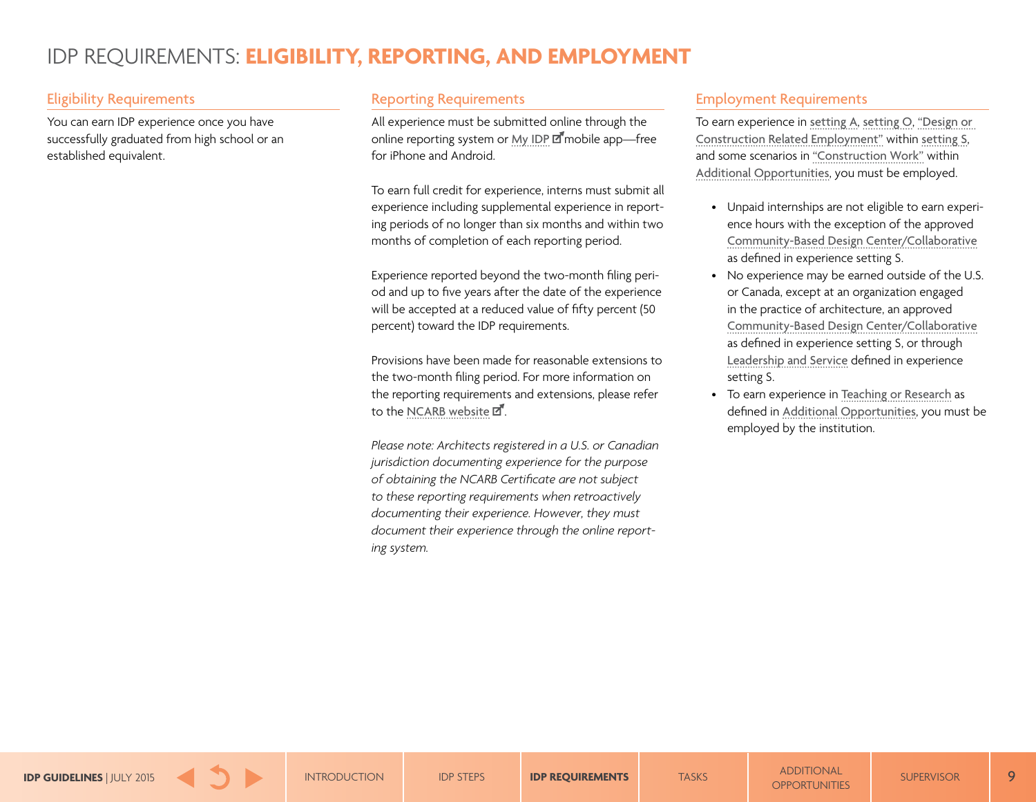# <span id="page-8-0"></span>IDP REQUIREMENTS: **ELIGIBILITY, REPORTING, AND EMPLOYMENT**

# Eligibility Requirements

You can earn IDP experience once you have successfully graduated from high school or an established equivalent.

# Reporting Requirements

All experience must be submitted online through the online reporting system or [My IDP](http://www.ncarb.org/Experience-Through-Internships/Resources-for-Interns/MYIDP.aspx) a mobile app—free for iPhone and Android.

To earn full credit for experience, interns must submit all experience including supplemental experience in reporting periods of no longer than six months and within two months of completion of each reporting period.

Experience reported beyond the two-month filing period and up to five years after the date of the experience will be accepted at a reduced value of fifty percent (50 percent) toward the IDP requirements.

Provisions have been made for reasonable extensions to the two-month filing period. For more information on the reporting requirements and extensions, please refer to the [NCARB website](http://www.ncarb.org/Experience-Through-Internships/Maintaining-Participation/Reporting-Requirement.aspx)  $\mathbb{Z}$ .

*Please note: Architects registered in a U.S. or Canadian jurisdiction documenting experience for the purpose of obtaining the NCARB Certificate are not subject to these reporting requirements when retroactively documenting their experience. However, they must document their experience through the online reporting system.*

# Employment Requirements

To earn experience in [setting A](#page-9-0), [setting O](#page-9-0), ["Design or](#page-13-0)  [Construction Related Employment"](#page-13-0) within [setting S](#page-9-0), and some scenarios in ["Construction Work"](#page-31-0) within [Additional Opportunities](#page-29-0), you must be employed.

- Unpaid internships are not eligible to earn experience hours with the exception of the approved [Community-Based Design Center/Collaborative](#page-14-0) as defined in experience setting S.
- No experience may be earned outside of the U.S. or Canada, except at an organization engaged in the practice of architecture, an approved [Community-Based Design Center/Collaborative](#page-14-0) as defined in experience setting S, or through [Leadership and Service](#page-13-0) defined in experience setting S.
- To earn experience in [Teaching or Research](#page-32-0) as defined in [Additional Opportunities](#page-29-0), you must be employed by the institution.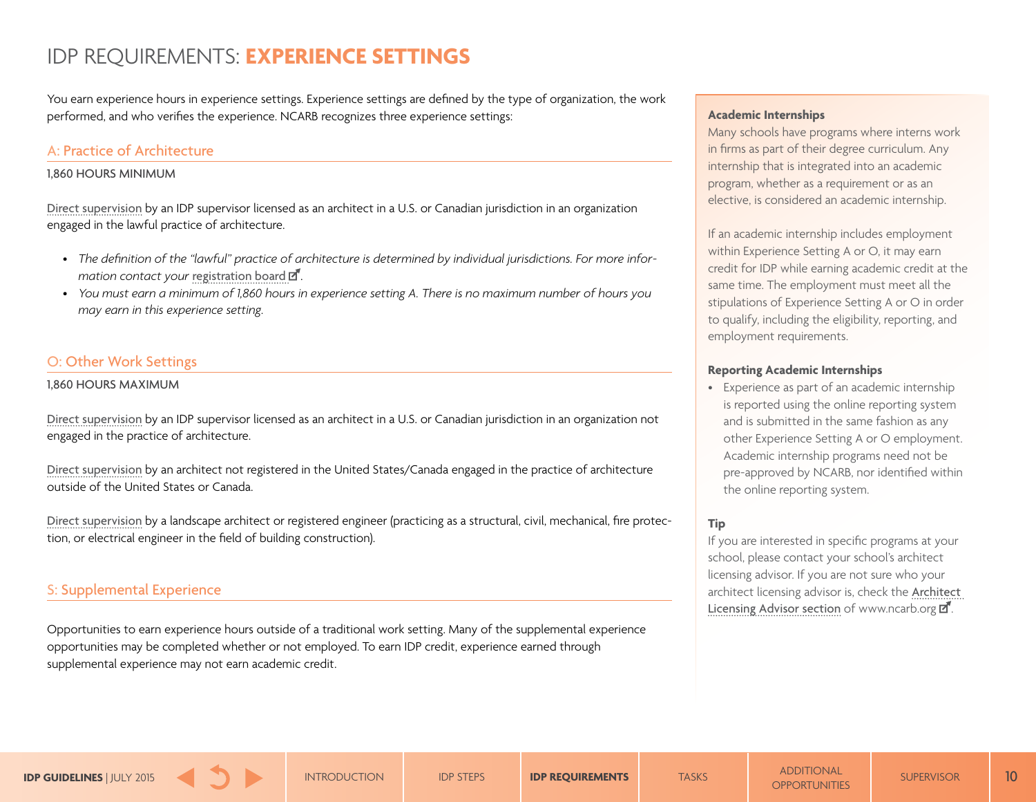# <span id="page-9-0"></span>IDP REQUIREMENTS: **EXPERIENCE SETTINGS**

You earn experience hours in experience settings. Experience settings are defined by the type of organization, the work performed, and who verifies the experience. NCARB recognizes three experience settings:

#### A: Practice of Architecture

#### 1,860 HOURS MINIMUM

[Direct supervision](#page-10-0) by an IDP supervisor licensed as an architect in a U.S. or Canadian jurisdiction in an organization engaged in the lawful practice of architecture.

- *• The definition of the "lawful" practice of architecture is determined by individual jurisdictions. For more information contact your registration board*  $\mathbb{Z}$ .
- *• You must earn a minimum of 1,860 hours in experience setting A. There is no maximum number of hours you may earn in this experience setting.*

### O: Other Work Settings

#### 1,860 HOURS MAXIMUM

[Direct supervision](#page-10-0) by an IDP supervisor licensed as an architect in a U.S. or Canadian jurisdiction in an organization not engaged in the practice of architecture.

[Direct supervision](#page-10-0) by an architect not registered in the United States/Canada engaged in the practice of architecture outside of the United States or Canada.

[Direct supervision](#page-10-0) by a landscape architect or registered engineer (practicing as a structural, civil, mechanical, fire protection, or electrical engineer in the field of building construction).

#### S: Supplemental Experience

Opportunities to earn experience hours outside of a traditional work setting. Many of the supplemental experience opportunities may be completed whether or not employed. To earn IDP credit, experience earned through supplemental experience may not earn academic credit.

#### **Academic Internships**

Many schools have programs where interns work in firms as part of their degree curriculum. Any internship that is integrated into an academic program, whether as a requirement or as an elective, is considered an academic internship.

If an academic internship includes employment within Experience Setting A or O, it may earn credit for IDP while earning academic credit at the same time. The employment must meet all the stipulations of Experience Setting A or O in order to qualify, including the eligibility, reporting, and employment requirements.

#### **Reporting Academic Internships**

• Experience as part of an academic internship is reported using the online reporting system and is submitted in the same fashion as any other Experience Setting A or O employment. Academic internship programs need not be pre-approved by NCARB, nor identified within the online reporting system.

#### **Tip**

If you are interested in specific programs at your school, please contact your school's architect licensing advisor. If you are not sure who your architect licensing advisor is, check the [Architect](http://www.ncarb.org/Experience-Through-Internships/IDP-Coordinators.aspx)  [Licensing Advisor section](http://www.ncarb.org/Experience-Through-Internships/IDP-Coordinators.aspx) of www.ncarb.org  $\vec{\mathbf{Z}}$ .

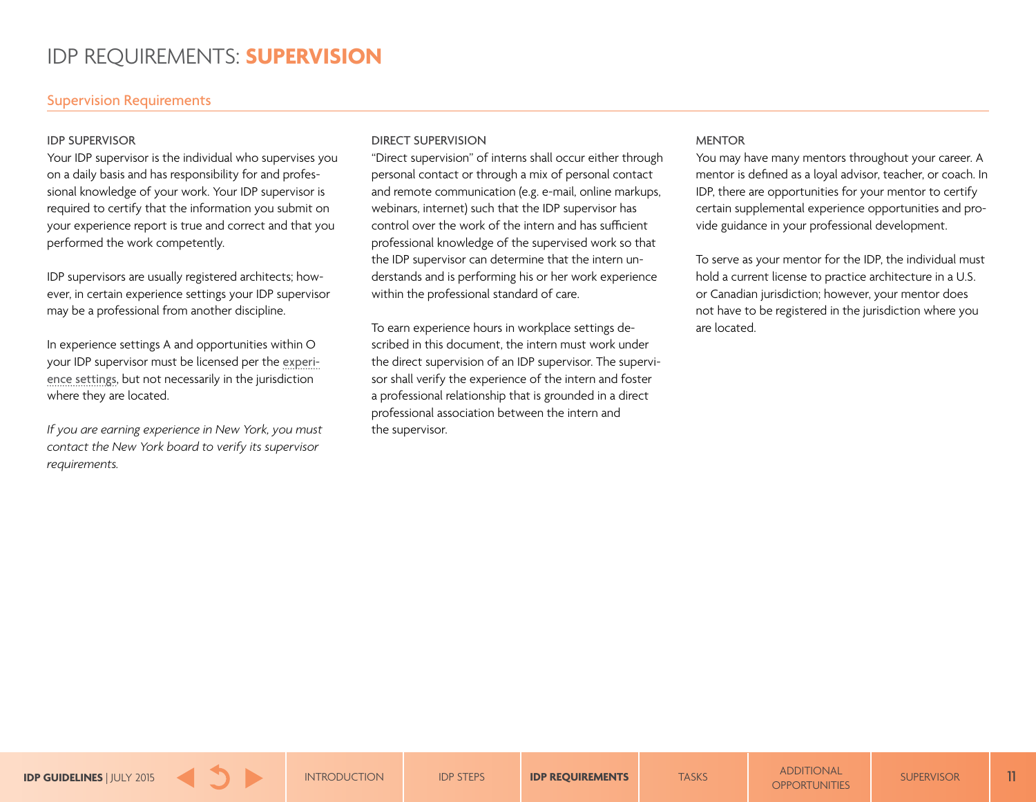# <span id="page-10-0"></span>IDP REQUIREMENTS: **SUPERVISION**

#### Supervision Requirements

#### IDP SUPERVISOR

Your IDP supervisor is the individual who supervises you on a daily basis and has responsibility for and professional knowledge of your work. Your IDP supervisor is required to certify that the information you submit on your experience report is true and correct and that you performed the work competently.

IDP supervisors are usually registered architects; however, in certain experience settings your IDP supervisor may be a professional from another discipline.

In experience settings A and opportunities within O your IDP supervisor must be licensed per the [experi](#page-9-0)[ence settings](#page-9-0), but not necessarily in the jurisdiction where they are located.

*If you are earning experience in New York, you must contact the New York board to verify its supervisor requirements.*

#### DIRECT SUPERVISION

"Direct supervision" of interns shall occur either through personal contact or through a mix of personal contact and remote communication (e.g. e-mail, online markups, webinars, internet) such that the IDP supervisor has control over the work of the intern and has sufficient professional knowledge of the supervised work so that the IDP supervisor can determine that the intern understands and is performing his or her work experience within the professional standard of care.

To earn experience hours in workplace settings described in this document, the intern must work under the direct supervision of an IDP supervisor. The supervisor shall verify the experience of the intern and foster a professional relationship that is grounded in a direct professional association between the intern and the supervisor.

#### **MENTOR**

You may have many mentors throughout your career. A mentor is defined as a loyal advisor, teacher, or coach. In IDP, there are opportunities for your mentor to certify certain supplemental experience opportunities and provide guidance in your professional development.

To serve as your mentor for the IDP, the individual must hold a current license to practice architecture in a U.S. or Canadian jurisdiction; however, your mentor does not have to be registered in the jurisdiction where you are located.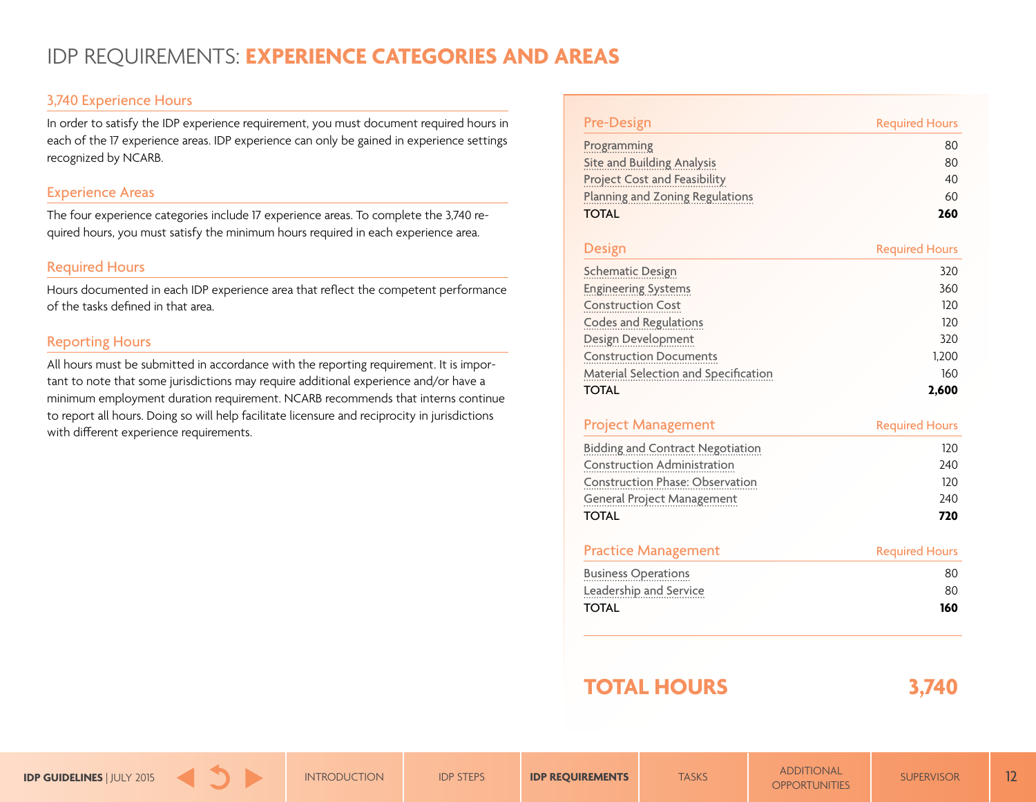# <span id="page-11-0"></span>IDP REQUIREMENTS: **EXPERIENCE CATEGORIES AND AREAS**

### 3,740 Experience Hours

In order to satisfy the IDP experience requirement, you must document required hours in each of the 17 experience areas. IDP experience can only be gained in experience settings recognized by NCARB.

#### Experience Areas

The four experience categories include 17 experience areas. To complete the 3,740 required hours, you must satisfy the minimum hours required in each experience area.

### Required Hours

Hours documented in each IDP experience area that reflect the competent performance of the tasks defined in that area.

#### Reporting Hours

All hours must be submitted in accordance with the reporting requirement. It is important to note that some jurisdictions may require additional experience and/or have a minimum employment duration requirement. NCARB recommends that interns continue to report all hours. Doing so will help facilitate licensure and reciprocity in jurisdictions with different experience requirements.

| <b>Pre-Design</b>                       | <b>Required Hours</b> |
|-----------------------------------------|-----------------------|
| Programming                             | 80                    |
| <b>Site and Building Analysis</b>       | 80                    |
| <b>Project Cost and Feasibility</b>     | 40                    |
| Planning and Zoning Regulations         | 60                    |
| <b>TOTAL</b>                            | 260                   |
| Design                                  | <b>Required Hours</b> |
| <b>Schematic Design</b>                 | 320                   |
| <b>Engineering Systems</b>              | 360                   |
| <b>Construction Cost</b>                | 120                   |
| <b>Codes and Regulations</b>            | 120                   |
| <b>Design Development</b>               | 320                   |
| <b>Construction Documents</b>           | 1,200                 |
| Material Selection and Specification    | 160                   |
| <b>TOTAL</b>                            | 2,600                 |
| <b>Project Management</b>               | <b>Required Hours</b> |
| <b>Bidding and Contract Negotiation</b> | 120                   |
| <b>Construction Administration</b>      | 240                   |
| <b>Construction Phase: Observation</b>  | 120                   |
| <b>General Project Management</b>       | 240                   |
| <b>TOTAL</b>                            | 720                   |
| <b>Practice Management</b>              | <b>Required Hours</b> |
| <b>Business Operations</b>              | 80                    |
| Leadership and Service                  | 80                    |
| <b>TOTAL</b>                            | 160                   |

# **TOTAL HOURS 3,740**

**[IDP GUIDELINES](#page-0-0)** | JULY 2015 **[IDP STEPS](#page-5-0)** IDP STEPS **[IDP REQUIREMENTS](#page-8-0)** TASKS TASKS [OPPORTUNITIES](#page-29-0) [SUPERVISOR](#page-33-0) 12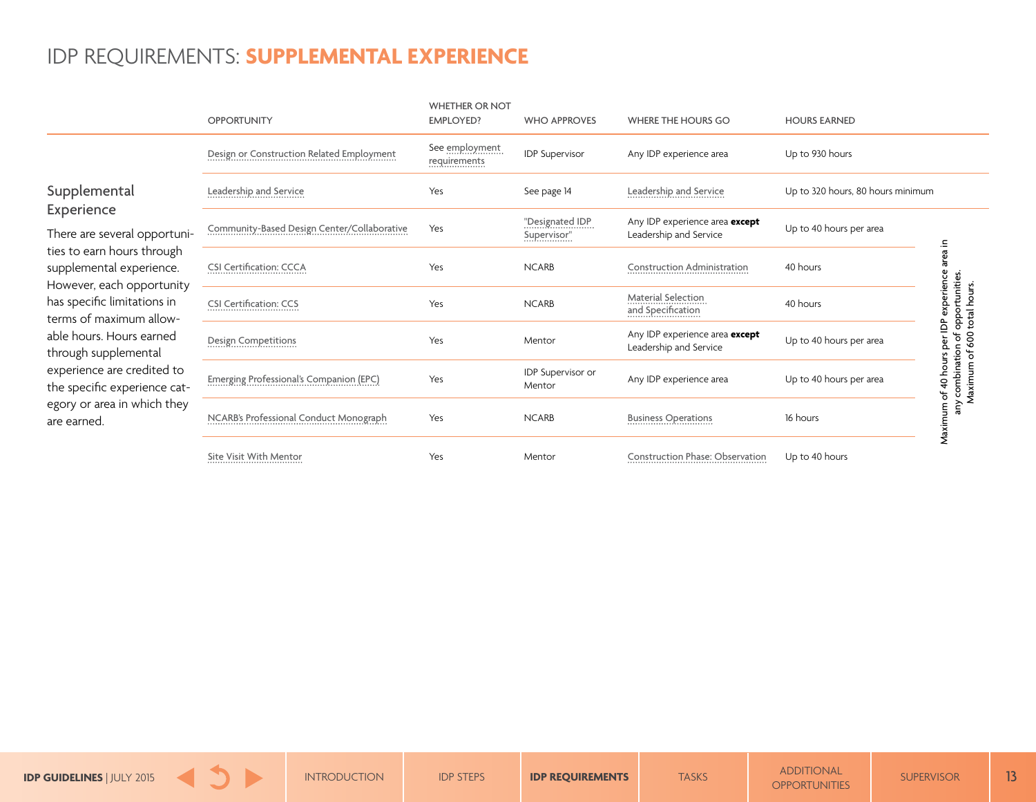<span id="page-12-0"></span>

|                                                                                                                                                                                                                                                     | <b>OPPORTUNITY</b>                          | <b>WHETHER OR NOT</b><br><b>EMPLOYED?</b> | <b>WHO APPROVES</b>            | <b>WHERE THE HOURS GO</b>                                | <b>HOURS EARNED</b>               |                                                                                                                                                 |
|-----------------------------------------------------------------------------------------------------------------------------------------------------------------------------------------------------------------------------------------------------|---------------------------------------------|-------------------------------------------|--------------------------------|----------------------------------------------------------|-----------------------------------|-------------------------------------------------------------------------------------------------------------------------------------------------|
|                                                                                                                                                                                                                                                     | Design or Construction Related Employment   | See employment<br>requirements            | <b>IDP Supervisor</b>          | Any IDP experience area                                  | Up to 930 hours                   |                                                                                                                                                 |
| Supplemental<br>Experience<br>There are several opportuni-                                                                                                                                                                                          | Leadership and Service                      | Yes                                       | See page 14                    | Leadership and Service                                   | Up to 320 hours, 80 hours minimum |                                                                                                                                                 |
|                                                                                                                                                                                                                                                     | Community-Based Design Center/Collaborative | Yes                                       | "Designated IDP<br>Supervisor" | Any IDP experience area except<br>Leadership and Service | Up to 40 hours per area<br>⊒.     |                                                                                                                                                 |
| ties to earn hours through<br>supplemental experience.                                                                                                                                                                                              | <b>CSI Certification: CCCA</b>              | Yes                                       | <b>NCARB</b>                   | Construction Administration                              | area<br>40 hours                  | experience<br>tunities.<br><sup>:</sup> opportuniti<br>) total hours.<br>600<br>đ<br>৯<br>combination<br>$\sigma$<br>S<br>of 40 hour<br>Maximum |
| However, each opportunity<br>has specific limitations in<br>terms of maximum allow-<br>able hours. Hours earned<br>through supplemental<br>experience are credited to<br>the specific experience cat-<br>egory or area in which they<br>are earned. | <b>CSI Certification: CCS</b>               | Yes                                       | <b>NCARB</b>                   | Material Selection<br>and Specification                  | 40 hours                          |                                                                                                                                                 |
|                                                                                                                                                                                                                                                     | Design Competitions                         | Yes                                       | Mentor                         | Any IDP experience area except<br>Leadership and Service | Up to 40 hours per area           |                                                                                                                                                 |
|                                                                                                                                                                                                                                                     | Emerging Professional's Companion (EPC)     | Yes                                       | IDP Supervisor or<br>Mentor    | Any IDP experience area                                  | Up to 40 hours per area           |                                                                                                                                                 |
|                                                                                                                                                                                                                                                     | NCARB's Professional Conduct Monograph      | Yes                                       | <b>NCARB</b>                   | <b>Business Operations</b>                               | num<br>16 hours                   | λuε                                                                                                                                             |
|                                                                                                                                                                                                                                                     | Site Visit With Mentor                      | Yes                                       | Mentor                         | <b>Construction Phase: Observation</b>                   | Up to 40 hours                    |                                                                                                                                                 |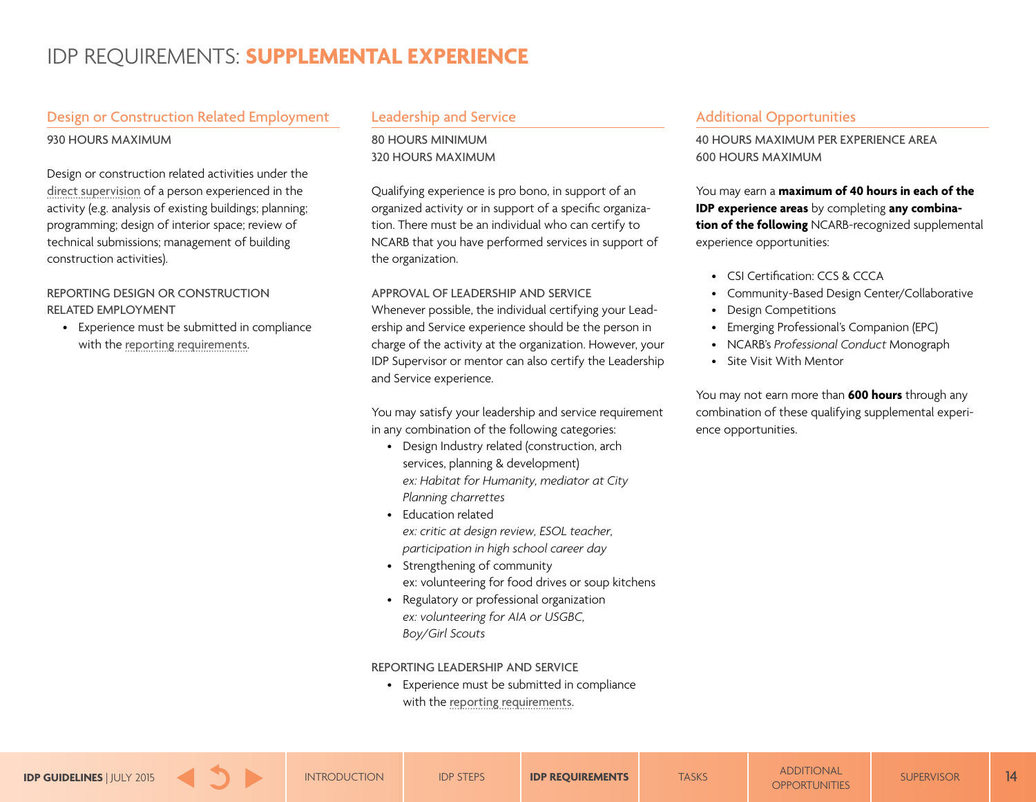# <span id="page-13-0"></span>Design or Construction Related Employment

930 HOURS MAXIMUM

Design or construction related activities under the [direct supervision](#page-10-0) of a person experienced in the activity (e.g. analysis of existing buildings; planning; programming; design of interior space; review of technical submissions; management of building construction activities).

#### REPORTING DESIGN OR CONSTRUCTION RELATED EMPLOYMENT

• Experience must be submitted in compliance with the [reporting requirements](#page-8-0).

### Leadership and Service

80 HOURS MINIMUM 320 HOURS MAXIMUM

Qualifying experience is pro bono, in support of an organized activity or in support of a specific organization. There must be an individual who can certify to NCARB that you have performed services in support of the organization.

#### APPROVAL OF LEADERSHIP AND SERVICE

Whenever possible, the individual certifying your Leadership and Service experience should be the person in charge of the activity at the organization. However, your IDP Supervisor or mentor can also certify the Leadership and Service experience.

You may satisfy your leadership and service requirement in any combination of the following categories:

- Design Industry related (construction, arch services, planning & development) *ex: Habitat for Humanity, mediator at City Planning charrettes*
- Education related *ex: critic at design review, ESOL teacher, participation in high school career day*
- Strengthening of community ex: volunteering for food drives or soup kitchens
- Regulatory or professional organization *ex: volunteering for AIA or USGBC, Boy/Girl Scouts*

REPORTING LEADERSHIP AND SERVICE

• Experience must be submitted in compliance with the [reporting requirements](#page-8-0).

### Additional Opportunities

40 HOURS MAXIMUM PER EXPERIENCE AREA 600 HOURS MAXIMUM

You may earn a **maximum of 40 hours in each of the IDP experience areas** by completing **any combination of the following** NCARB-recognized supplemental experience opportunities:

- CSI Certification: CCS & CCCA
- Community-Based Design Center/Collaborative
- Design Competitions
- Emerging Professional's Companion (EPC)
- NCARB's *Professional Conduct* Monograph
- Site Visit With Mentor

You may not earn more than **600 hours** through any combination of these qualifying supplemental experience opportunities.

**[IDP GUIDELINES](#page-0-0)** | JULY 2015 **[IDP STEPS](#page-5-0) IDP STEPS [IDP REQUIREMENTS](#page-8-0)** TASKS TASKS [OPPORTUNITIES](#page-29-0) [SUPERVISOR](#page-33-0) 14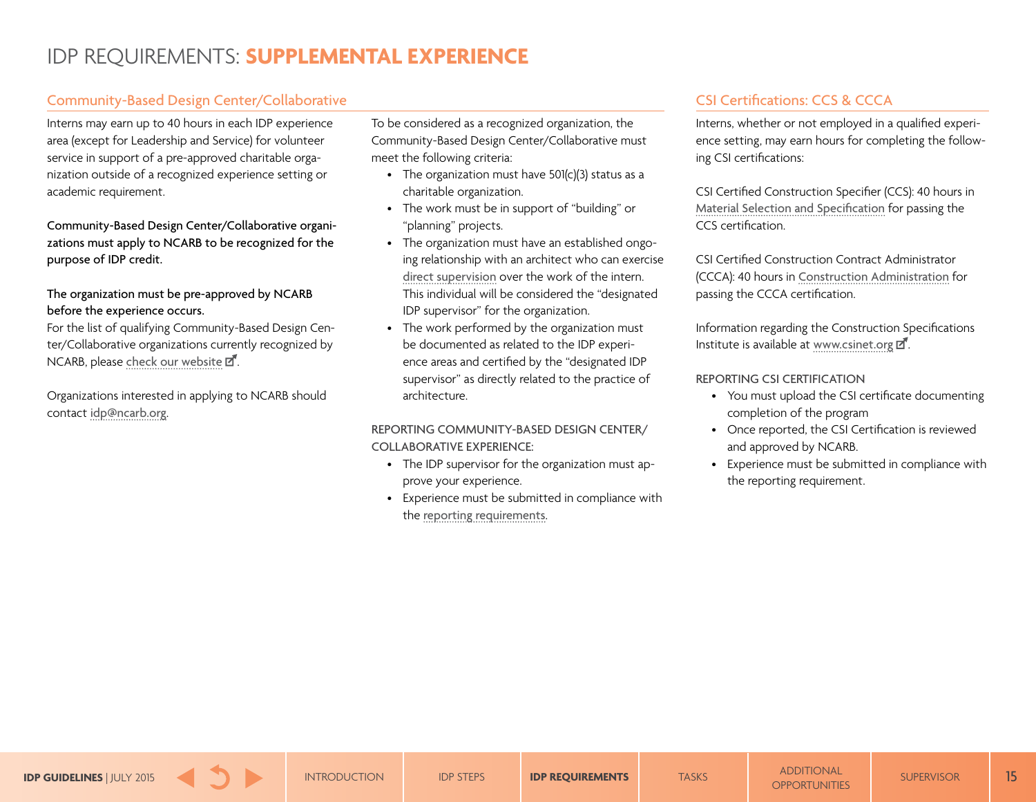# <span id="page-14-0"></span>Community-Based Design Center/Collaborative

Interns may earn up to 40 hours in each IDP experience area (except for Leadership and Service) for volunteer service in support of a pre-approved charitable organization outside of a recognized experience setting or academic requirement.

Community-Based Design Center/Collaborative organizations must apply to NCARB to be recognized for the purpose of IDP credit.

### The organization must be pre-approved by NCARB before the experience occurs.

For the list of qualifying Community-Based Design Center/Collaborative organizations currently recognized by NCARB, please [check our website](http://www.ncarb.org/Experience-Through-Internships/IDP2-Experience-Settings/IDP2-Supplemental-Experience-Core/Community-Based-Design-Collaborative/Design-Collaborative-List.aspx)  $\vec{a}$ .

Organizations interested in applying to NCARB should contact [idp@ncarb.org](mailto:idp@ncarb.org).

To be considered as a recognized organization, the Community-Based Design Center/Collaborative must meet the following criteria:

- The organization must have 501(c)(3) status as a charitable organization.
- The work must be in support of "building" or "planning" projects.
- The organization must have an established ongoing relationship with an architect who can exercise [direct supervision](#page-10-0) over the work of the intern. This individual will be considered the "designated IDP supervisor" for the organization.
- The work performed by the organization must be documented as related to the IDP experience areas and certified by the "designated IDP supervisor" as directly related to the practice of architecture.

### REPORTING COMMUNITY-BASED DESIGN CENTER/ COLLABORATIVE EXPERIENCE:

- The IDP supervisor for the organization must approve your experience.
- Experience must be submitted in compliance with the [reporting requirements](#page-8-0).

# CSI Certifications: CCS & CCCA

Interns, whether or not employed in a qualified experience setting, may earn hours for completing the following CSI certifications:

CSI Certified Construction Specifier (CCS): 40 hours in [Material Selection and Specification](#page-24-0) for passing the CCS certification.

CSI Certified Construction Contract Administrator (CCCA): 40 hours in [Construction Administration](#page-25-0) for passing the CCCA certification.

Information regarding the Construction Specifications Institute is available at [www.csinet.org](http://www.csinet.org/)  $\vec{a}$ .

#### REPORTING CSI CERTIFICATION

- You must upload the CSI certificate documenting completion of the program
- Once reported, the CSI Certification is reviewed and approved by NCARB.
- Experience must be submitted in compliance with the [reporting requirement.](#page-8-0)

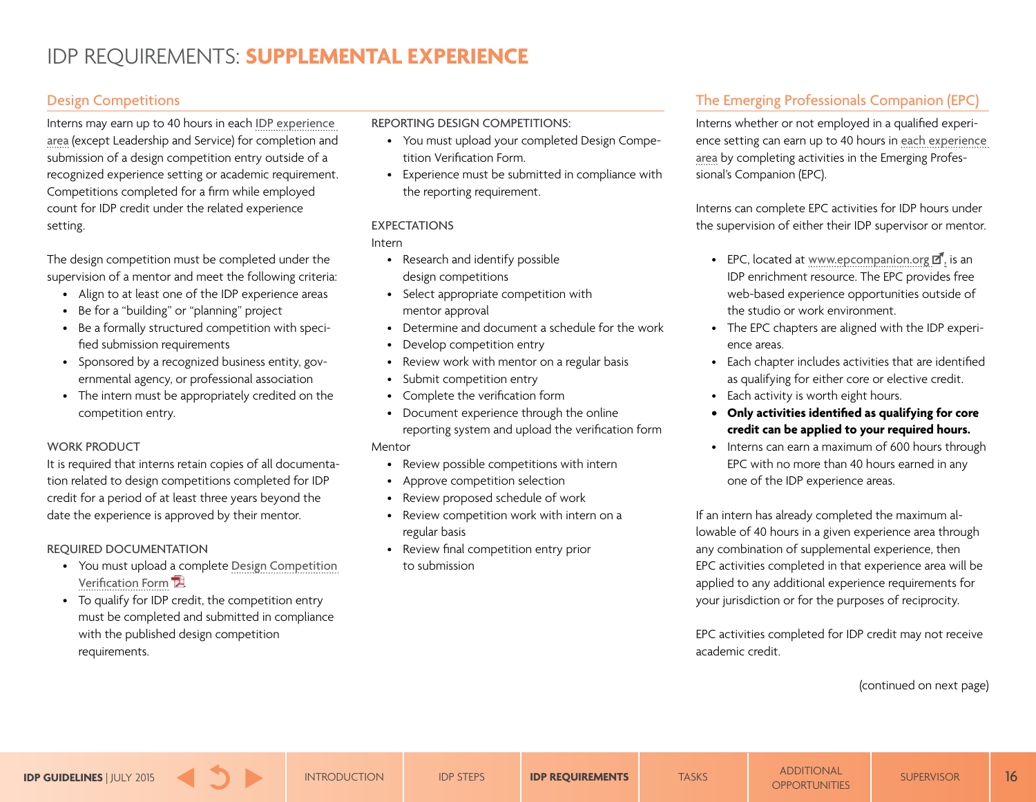# <span id="page-15-0"></span>Design Competitions

Interns may earn up to 40 hours in each [IDP experience](#page-11-0)  [area](#page-11-0) (except Leadership and Service) for completion and submission of a design competition entry outside of a recognized experience setting or academic requirement. Competitions completed for a firm while employed count for IDP credit under the related experience setting.

The design competition must be completed under the supervision of a [mentor](#page-10-0) and meet the following criteria:

- Align to at least one of the IDP experience areas
- Be for a "building" or "planning" project
- Be a formally structured competition with specified submission requirements
- Sponsored by a recognized business entity, governmental agency, or professional association
- The intern must be appropriately credited on the competition entry.

#### WORK PRODUCT

It is required that interns retain copies of all documentation related to design competitions completed for IDP credit for a period of at least three years beyond the date the experience is approved by their mentor.

#### REQUIRED DOCUMENTATION

- You must upload a complete [Design Competition](http://www.ncarb.org/Publications/~/media/Files/PDF/Applications-Forms/design-competitions-for-idp.pdf)  [Verification Form](http://www.ncarb.org/Publications/~/media/Files/PDF/Applications-Forms/design-competitions-for-idp.pdf) .
- To qualify for IDP credit, the competition entry must be completed and submitted in compliance with the published design competition requirements.

#### REPORTING DESIGN COMPETITIONS:

- You must upload your completed Design Competition Verification Form.
- Experience must be submitted in compliance with the [reporting requirement.](#page-8-0)

#### EXPECTATIONS

Intern

- Research and identify possible design competitions
- Select appropriate competition with mentor approval
- Determine and document a schedule for the work
- Develop competition entry
- Review work with mentor on a regular basis
- Submit competition entry
- Complete the verification form
- Document experience through the online reporting system and upload the verification form

#### Mentor

- Review possible competitions with intern
- Approve competition selection
- Review proposed schedule of work
- Review competition work with intern on a regular basis
- Review final competition entry prior to submission

# The Emerging Professionals Companion (EPC)

Interns whether or not employed in a qualified experience setting can earn up to 40 hours in [each experience](#page-11-0)  [area](#page-11-0) by completing activities in the Emerging Professional's Companion (EPC).

Interns can complete EPC activities for IDP hours under the supervision of either their IDP supervisor or mentor.

- EPC, located at <www.epcompanion.org>  $\mathbb{Z}$ , is an IDP enrichment resource. The EPC provides free web-based experience opportunities outside of the studio or work environment.
- The EPC chapters are aligned with the IDP experience areas.
- Each chapter includes activities that are identified as qualifying for either core or elective credit.
- Each activity is worth eight hours.
- **• Only activities identified as qualifying for core credit can be applied to your required hours.**
- Interns can earn a maximum of 600 hours through EPC with no more than 40 hours earned in any one of the IDP experience areas.

If an intern has already completed the maximum allowable of 40 hours in a given experience area through any combination of supplemental experience, then EPC activities completed in that experience area will be applied to any additional experience requirements for your jurisdiction or for the purposes of reciprocity.

EPC activities completed for IDP credit may not receive academic credit.

ADDITIONAL<br>OPPORTUNITIES

(continued on next page)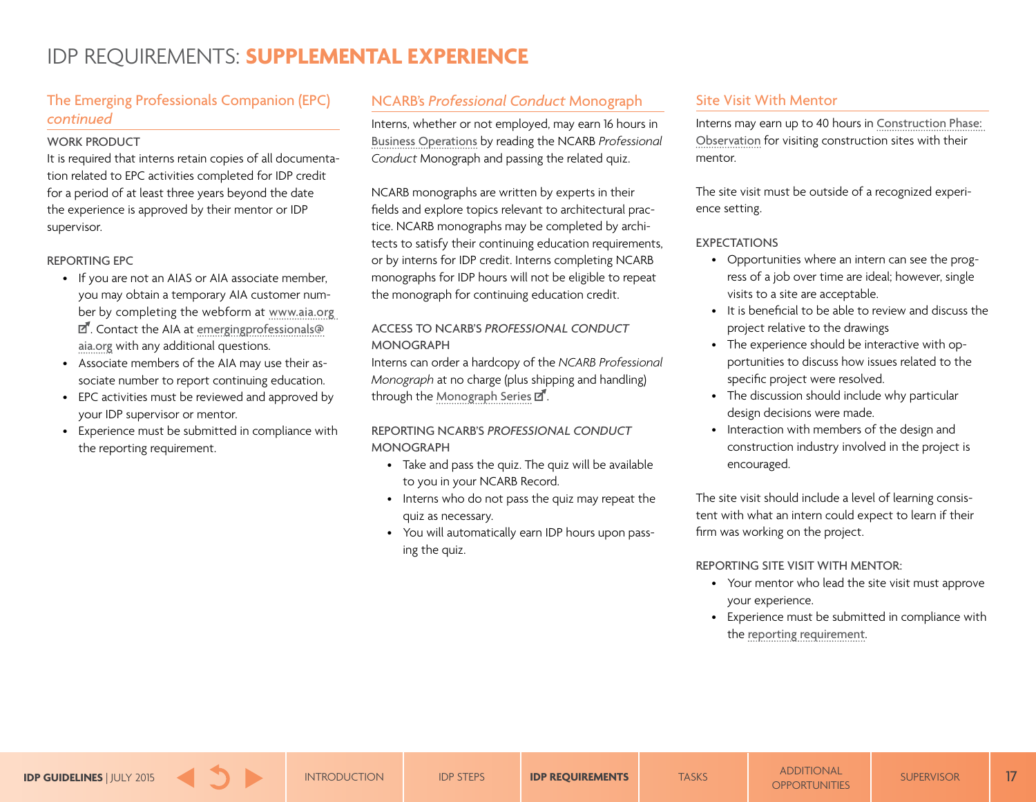# <span id="page-16-0"></span>The Emerging Professionals Companion (EPC) *continued*

#### WORK PRODUCT

It is required that interns retain copies of all documentation related to EPC activities completed for IDP credit for a period of at least three years beyond the date the experience is approved by their mentor or IDP supervisor.

#### REPORTING EPC

- If you are not an AIAS or AIA associate member, you may obtain a temporary AIA customer number by completing the webform at www.aia.org  $\overline{\mathbb{Z}}$ . Contact the AIA at [emergingprofessionals@](mailto:emergingprofessionals%40aia.org?subject=) [aia.org](mailto:emergingprofessionals%40aia.org?subject=) with any additional questions.
- Associate members of the AIA may use their associate number to report continuing education.
- EPC activities must be reviewed and approved by your IDP supervisor or mentor.
- Experience must be submitted in compliance with the [reporting requirement.](#page-8-0)

# NCARB's *Professional Conduct* Monograph

Interns, whether or not employed, may earn 16 hours in [Business Operations](#page-27-0) by reading the NCARB *Professional Conduct* Monograph and passing the related quiz.

NCARB monographs are written by experts in their fields and explore topics relevant to architectural practice. NCARB monographs may be completed by architects to satisfy their continuing education requirements, or by interns for IDP credit. Interns completing NCARB monographs for IDP hours will not be eligible to repeat the monograph for continuing education credit.

### ACCESS TO NCARB'S *PROFESSIONAL CONDUCT* MONOGRAPH

Interns can order a hardcopy of the *NCARB Professional Monograph* at no charge (plus shipping and handling) through the [Monograph Series](https://monographs.ncarb.org/program_online_view_sa.php?prc=internal&pid=65)  $2^{\frac{1}{2}}$ .

#### REPORTING NCARB'S *PROFESSIONAL CONDUCT* MONOGRAPH

- Take and pass the quiz. The quiz will be available to you in your NCARB Record.
- Interns who do not pass the quiz may repeat the quiz as necessary.
- You will automatically earn IDP hours upon passing the quiz.

### Site Visit With Mentor

Interns may earn up to 40 hours in [Construction Phase:](#page-25-0)  [Observation](#page-25-0) for visiting construction sites with their mentor.

The site visit must be outside of a recognized experience setting.

#### **EXPECTATIONS**

- Opportunities where an intern can see the progress of a job over time are ideal; however, single visits to a site are acceptable.
- It is beneficial to be able to review and discuss the project relative to the drawings
- The experience should be interactive with opportunities to discuss how issues related to the specific project were resolved.
- The discussion should include why particular design decisions were made.
- Interaction with members of the design and construction industry involved in the project is encouraged.

The site visit should include a level of learning consistent with what an intern could expect to learn if their firm was working on the project.

REPORTING SITE VISIT WITH MENTOR:

- Your mentor who lead the site visit must approve your experience.
- Experience must be submitted in compliance with the [reporting requirement](#page-8-0).

**[IDP GUIDELINES](#page-0-0)** | JULY 2015 **[IDP STEPS](#page-5-0) IDP STEPS [IDP REQUIREMENTS](#page-8-0)** TASKS TASKS [OPPORTUNITIES](#page-29-0) [SUPERVISOR](#page-33-0) 17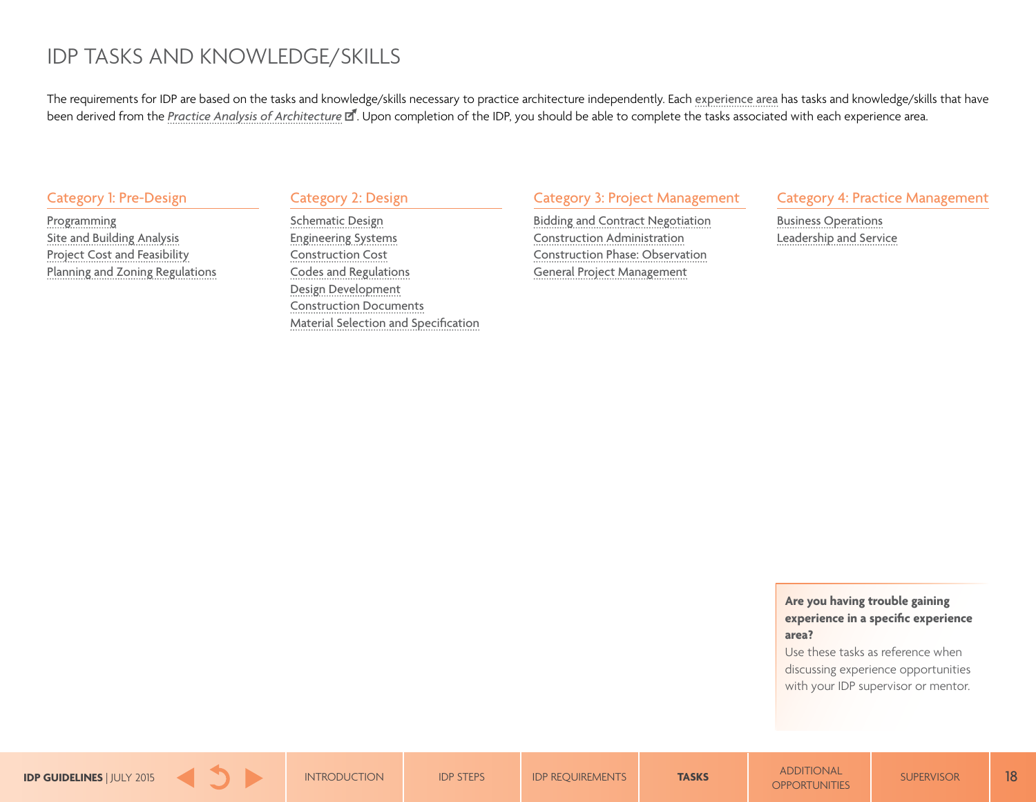<span id="page-17-0"></span>The requirements for IDP are based on the tasks and knowledge/skills necessary to practice architecture independently. Each [experience area](#page-11-0) has tasks and knowledge/skills that have been derived from the *[Practice Analysis of Architecture](http://www.ncarb.org/About-NCARB/Practice-Analysis.aspx)* **I**. Upon completion of the IDP, you should be able to complete the tasks associated with each experience area.

#### Category 1: Pre-Design

[Programming](#page-18-0) [Site and Building Analysis](#page-18-0) [Project Cost and Feasibility](#page-19-0) [Planning and Zoning Regulations](#page-19-0)

# Category 2: Design

[Schematic Design](#page-20-0) [Engineering Systems](#page-20-0) [Construction Cost](#page-21-0) [Codes and Regulations](#page-21-0) [Design Development](#page-22-0) [Construction Documents](#page-23-0) [Material Selection and Specification](#page-24-0)

#### Category 3: Project Management

[Bidding and Contract Negotiation](#page-24-0) [Construction Administration](#page-25-0) [Construction Phase: Observation](#page-25-0) [General Project Management](#page-26-0)

#### Category 4: Practice Management

[Business Operations](#page-27-0) [Leadership and Service](#page-28-0)

#### **Are you having trouble gaining experience in a specific experience area?**

Use these tasks as reference when discussing experience opportunities with your IDP supervisor or mentor.

**[IDP GUIDELINES](#page-0-0)** | JULY 2015 **[IDP STEPS](#page-5-0)** IDP STEPS IDP REQUIREMENTS | TASKS [OPPORTUNITIES](#page-29-0) | [SUPERVISOR](#page-33-0) | 18

ADDITIONAL<br>OPPORTUNITIES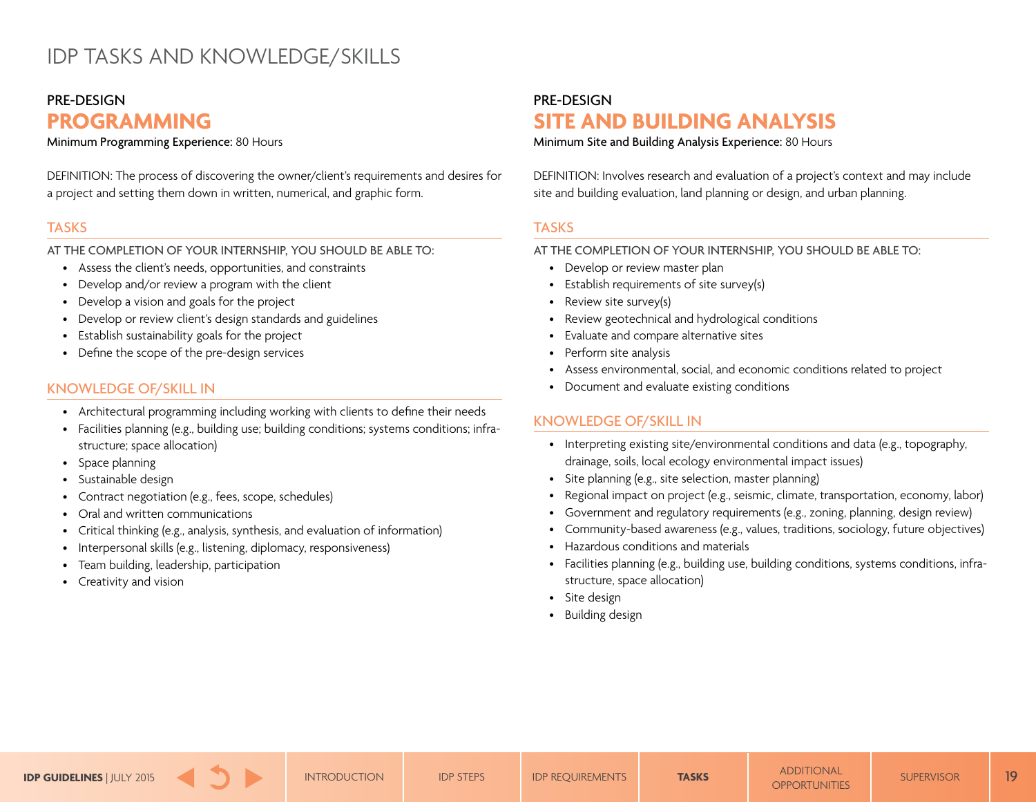# <span id="page-18-0"></span>PRE-DESIGN **PROGRAMMING**

Minimum Programming Experience: 80 Hours

DEFINITION: The process of discovering the owner/client's requirements and desires for a project and setting them down in written, numerical, and graphic form.

### **TASKS**

AT THE COMPLETION OF YOUR INTERNSHIP, YOU SHOULD BE ABLE TO:

- Assess the client's needs, opportunities, and constraints
- Develop and/or review a program with the client
- Develop a vision and goals for the project
- Develop or review client's design standards and guidelines
- Establish sustainability goals for the project
- Define the scope of the pre-design services

# KNOWLEDGE OF/SKILL IN

- Architectural programming including working with clients to define their needs
- Facilities planning (e.g., building use; building conditions; systems conditions; infrastructure; space allocation)
- Space planning
- Sustainable design
- Contract negotiation (e.g., fees, scope, schedules)
- Oral and written communications
- Critical thinking (e.g., analysis, synthesis, and evaluation of information)
- Interpersonal skills (e.g., listening, diplomacy, responsiveness)
- Team building, leadership, participation
- Creativity and vision

# PRE-DESIGN **SITE AND BUILDING ANALYSIS**

Minimum Site and Building Analysis Experience: 80 Hours

DEFINITION: Involves research and evaluation of a project's context and may include site and building evaluation, land planning or design, and urban planning.

### **TASKS**

AT THE COMPLETION OF YOUR INTERNSHIP, YOU SHOULD BE ABLE TO:

- Develop or review master plan
- Establish requirements of site survey(s)
- Review site survey(s)
- Review geotechnical and hydrological conditions
- Evaluate and compare alternative sites
- Perform site analysis
- Assess environmental, social, and economic conditions related to project
- Document and evaluate existing conditions

- Interpreting existing site/environmental conditions and data (e.g., topography, drainage, soils, local ecology environmental impact issues)
- Site planning (e.g., site selection, master planning)
- Regional impact on project (e.g., seismic, climate, transportation, economy, labor)
- Government and regulatory requirements (e.g., zoning, planning, design review)
- Community-based awareness (e.g., values, traditions, sociology, future objectives)
- Hazardous conditions and materials
- Facilities planning (e.g., building use, building conditions, systems conditions, infrastructure, space allocation)
- Site design
- Building design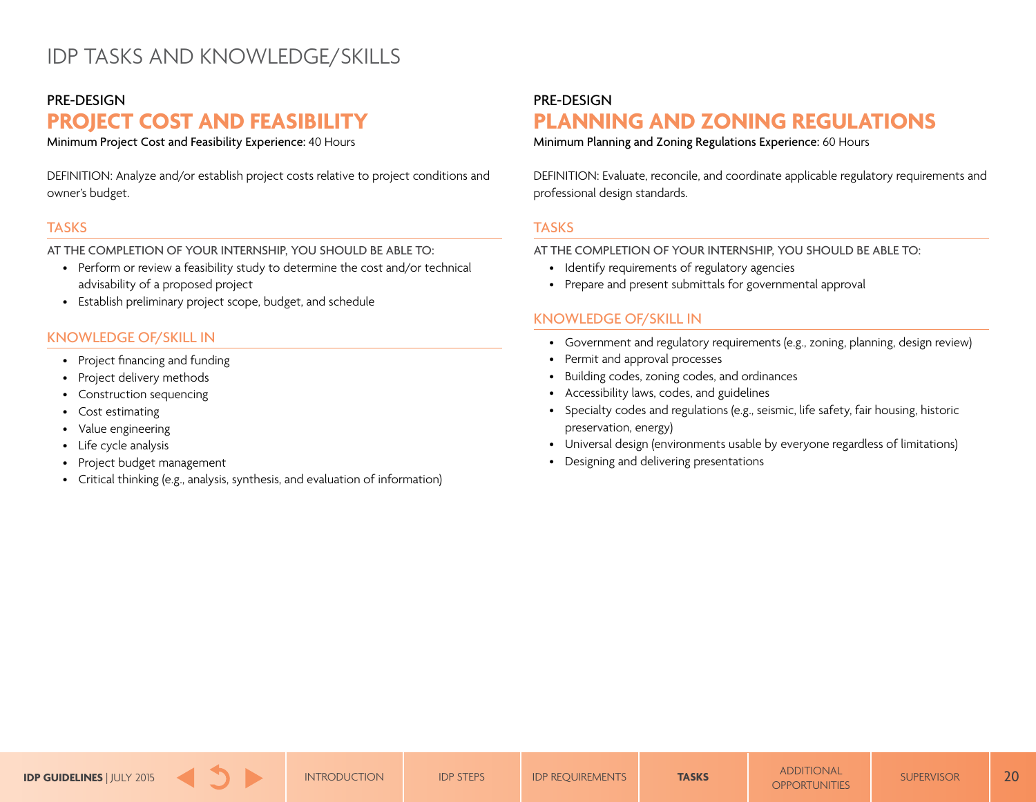### <span id="page-19-0"></span>PRE-DESIGN

# **PROJECT COST AND FEASIBILITY**

Minimum Project Cost and Feasibility Experience: 40 Hours

DEFINITION: Analyze and/or establish project costs relative to project conditions and owner's budget.

### **TASKS**

AT THE COMPLETION OF YOUR INTERNSHIP, YOU SHOULD BE ABLE TO:

- Perform or review a feasibility study to determine the cost and/or technical advisability of a proposed project
- Establish preliminary project scope, budget, and schedule

# KNOWLEDGE OF/SKILL IN

- Project financing and funding
- Project delivery methods
- Construction sequencing
- Cost estimating
- Value engineering
- Life cycle analysis
- Project budget management
- Critical thinking (e.g., analysis, synthesis, and evaluation of information)

# PRE-DESIGN **PLANNING AND ZONING REGULATIONS**

Minimum Planning and Zoning Regulations Experience: 60 Hours

DEFINITION: Evaluate, reconcile, and coordinate applicable regulatory requirements and professional design standards.

#### **TASKS**

AT THE COMPLETION OF YOUR INTERNSHIP, YOU SHOULD BE ABLE TO:

- Identify requirements of regulatory agencies
- Prepare and present submittals for governmental approval

- Government and regulatory requirements (e.g., zoning, planning, design review)
- Permit and approval processes
- Building codes, zoning codes, and ordinances
- Accessibility laws, codes, and guidelines
- Specialty codes and regulations (e.g., seismic, life safety, fair housing, historic preservation, energy)
- Universal design (environments usable by everyone regardless of limitations)
- Designing and delivering presentations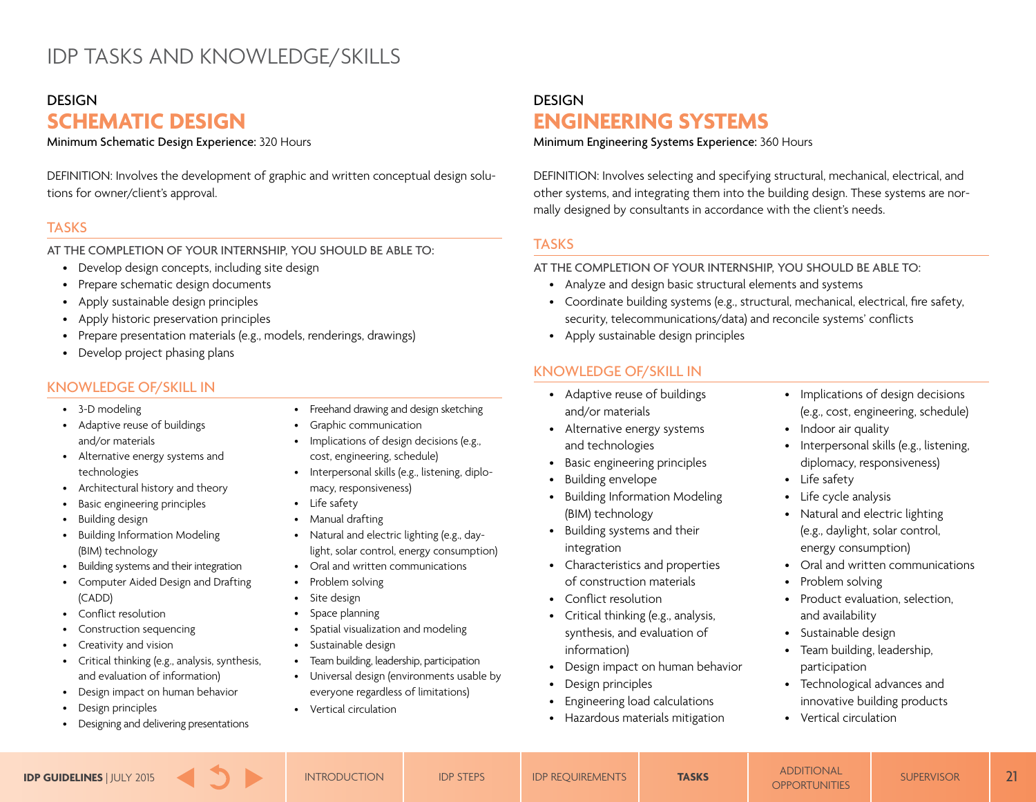### <span id="page-20-0"></span>**DESIGN**

# **SCHEMATIC DESIGN**

Minimum Schematic Design Experience: 320 Hours

DEFINITION: Involves the development of graphic and written conceptual design solutions for owner/client's approval.

### **TASKS**

AT THE COMPLETION OF YOUR INTERNSHIP, YOU SHOULD BE ABLE TO:

- Develop design concepts, including site design
- Prepare schematic design documents
- Apply sustainable design principles
- Apply historic preservation principles
- Prepare presentation materials (e.g., models, renderings, drawings)
- Develop project phasing plans

### KNOWLEDGE OF/SKILL IN

- 3-D modeling
- Adaptive reuse of buildings and/or materials
- Alternative energy systems and technologies
- Architectural history and theory
- Basic engineering principles
- Building design
- Building Information Modeling (BIM) technology
- Building systems and their integration
- Computer Aided Design and Drafting (CADD)
- Conflict resolution
- Construction sequencing
- Creativity and vision
- Critical thinking (e.g., analysis, synthesis, and evaluation of information)
- Design impact on human behavior
- Design principles
- Designing and delivering presentations
- Freehand drawing and design sketching
- Graphic communication
- Implications of design decisions (e.g., cost, engineering, schedule)
- Interpersonal skills (e.g., listening, diplomacy, responsiveness)
- Life safety
- Manual drafting
- Natural and electric lighting (e.g., daylight, solar control, energy consumption)
- Oral and written communications
- Problem solving
- Site design
- Space planning
- Spatial visualization and modeling
- Sustainable design
- Team building, leadership, participation
- Universal design (environments usable by everyone regardless of limitations)
- Vertical circulation

# **DESIGN ENGINEERING SYSTEMS**

Minimum Engineering Systems Experience: 360 Hours

DEFINITION: Involves selecting and specifying structural, mechanical, electrical, and other systems, and integrating them into the building design. These systems are normally designed by consultants in accordance with the client's needs.

### **TASKS**

AT THE COMPLETION OF YOUR INTERNSHIP, YOU SHOULD BE ABLE TO:

- Analyze and design basic structural elements and systems
- Coordinate building systems (e.g., structural, mechanical, electrical, fire safety, security, telecommunications/data) and reconcile systems' conflicts
- Apply sustainable design principles

- Adaptive reuse of buildings and/or materials
- Alternative energy systems and technologies
- Basic engineering principles
- Building envelope
- Building Information Modeling (BIM) technology
- Building systems and their integration
- Characteristics and properties of construction materials
- Conflict resolution
- Critical thinking (e.g., analysis, synthesis, and evaluation of information)
- Design impact on human behavior
- Design principles
- Engineering load calculations
- Hazardous materials mitigation
- Implications of design decisions (e.g., cost, engineering, schedule)
- Indoor air quality
- Interpersonal skills (e.g., listening, diplomacy, responsiveness)
- Life safety
- Life cycle analysis
- Natural and electric lighting (e.g., daylight, solar control, energy consumption)
- Oral and written communications
- Problem solving
- Product evaluation, selection, and availability
- Sustainable design
- Team building, leadership, participation
- Technological advances and innovative building products
- Vertical circulation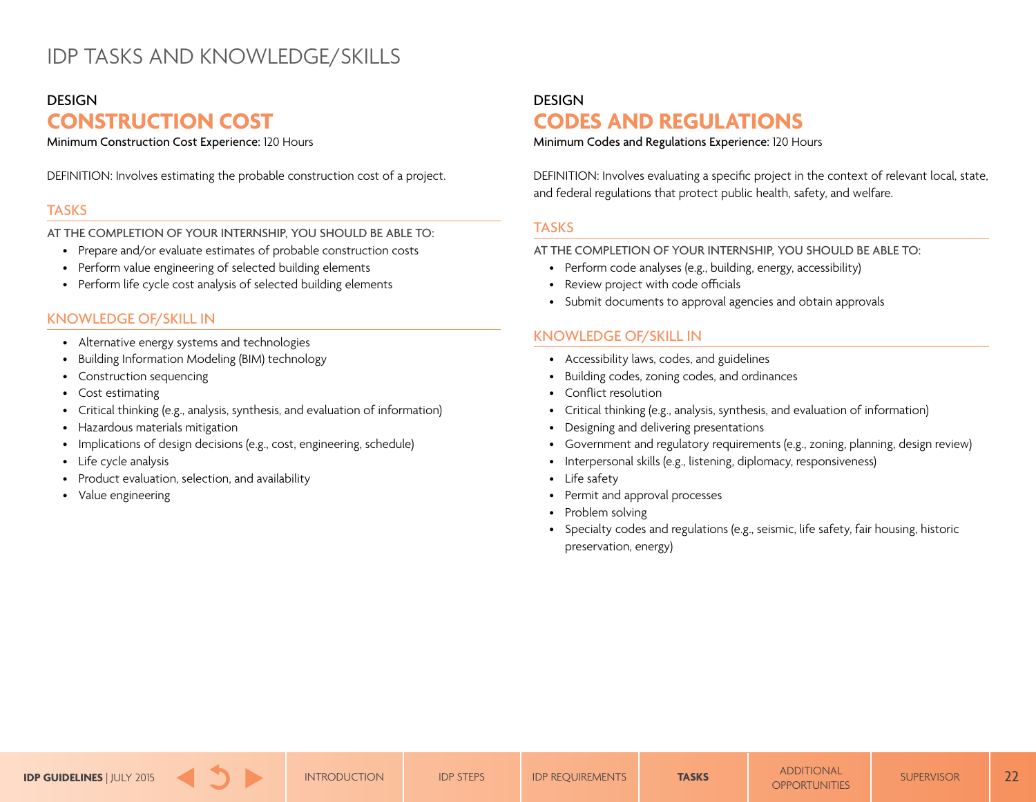### <span id="page-21-0"></span>**DESIGN**

# **CONSTRUCTION COST**

Minimum Construction Cost Experience: 120 Hours

DEFINITION: Involves estimating the probable construction cost of a project.

### **TASKS**

AT THE COMPLETION OF YOUR INTERNSHIP, YOU SHOULD BE ABLE TO:

- Prepare and/or evaluate estimates of probable construction costs
- Perform value engineering of selected building elements
- Perform life cycle cost analysis of selected building elements

# KNOWLEDGE OF/SKILL IN

- Alternative energy systems and technologies
- Building Information Modeling (BIM) technology
- Construction sequencing
- Cost estimating
- Critical thinking (e.g., analysis, synthesis, and evaluation of information)
- Hazardous materials mitigation
- Implications of design decisions (e.g., cost, engineering, schedule)
- Life cycle analysis
- Product evaluation, selection, and availability
- Value engineering

# **DESIGN CODES AND REGULATIONS**

Minimum Codes and Regulations Experience: 120 Hours

DEFINITION: Involves evaluating a specific project in the context of relevant local, state, and federal regulations that protect public health, safety, and welfare.

### TASKS

AT THE COMPLETION OF YOUR INTERNSHIP, YOU SHOULD BE ABLE TO:

- Perform code analyses (e.g., building, energy, accessibility)
- Review project with code officials
- Submit documents to approval agencies and obtain approvals

- Accessibility laws, codes, and guidelines
- Building codes, zoning codes, and ordinances
- Conflict resolution
- Critical thinking (e.g., analysis, synthesis, and evaluation of information)
- Designing and delivering presentations
- Government and regulatory requirements (e.g., zoning, planning, design review)
- Interpersonal skills (e.g., listening, diplomacy, responsiveness)
- Life safety
- Permit and approval processes
- Problem solving
- Specialty codes and regulations (e.g., seismic, life safety, fair housing, historic preservation, energy)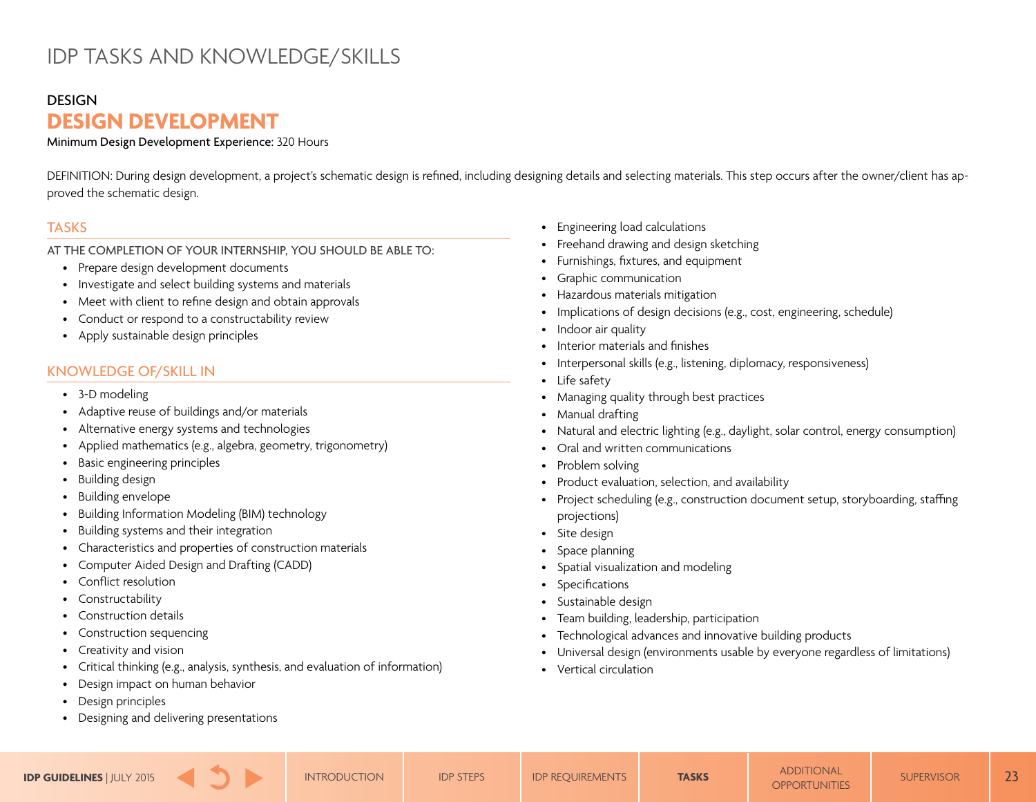### <span id="page-22-0"></span>**DESIGN**

# **DESIGN DEVELOPMENT**

#### Minimum Design Development Experience: 320 Hours

DEFINITION: During design development, a project's schematic design is refined, including designing details and selecting materials. This step occurs after the owner/client has approved the schematic design.

### **TASKS**

AT THE COMPLETION OF YOUR INTERNSHIP, YOU SHOULD BE ABLE TO:

- Prepare design development documents
- Investigate and select building systems and materials
- Meet with client to refine design and obtain approvals
- Conduct or respond to a constructability review
- Apply sustainable design principles

# KNOWLEDGE OF/SKILL IN

- 3-D modeling
- Adaptive reuse of buildings and/or materials
- Alternative energy systems and technologies
- Applied mathematics (e.g., algebra, geometry, trigonometry)
- Basic engineering principles
- Building design
- Building envelope
- Building Information Modeling (BIM) technology
- Building systems and their integration
- Characteristics and properties of construction materials
- Computer Aided Design and Drafting (CADD)
- Conflict resolution
- Constructability
- Construction details
- Construction sequencing
- Creativity and vision
- Critical thinking (e.g., analysis, synthesis, and evaluation of information)
- Design impact on human behavior
- Design principles
- Designing and delivering presentations
- Engineering load calculations
- Freehand drawing and design sketching
- Furnishings, fixtures, and equipment
- Graphic communication
- Hazardous materials mitigation
- Implications of design decisions (e.g., cost, engineering, schedule)
- Indoor air quality
- Interior materials and finishes
- Interpersonal skills (e.g., listening, diplomacy, responsiveness)
- Life safety
- Managing quality through best practices
- Manual drafting
- Natural and electric lighting (e.g., daylight, solar control, energy consumption)
- Oral and written communications
- Problem solving
- Product evaluation, selection, and availability
- Project scheduling (e.g., construction document setup, storyboarding, staffing projections)
- Site design
- Space planning
- Spatial visualization and modeling
- Specifications
- Sustainable design
- Team building, leadership, participation
- Technological advances and innovative building products
- Universal design (environments usable by everyone regardless of limitations)
- Vertical circulation

ADDITIONAL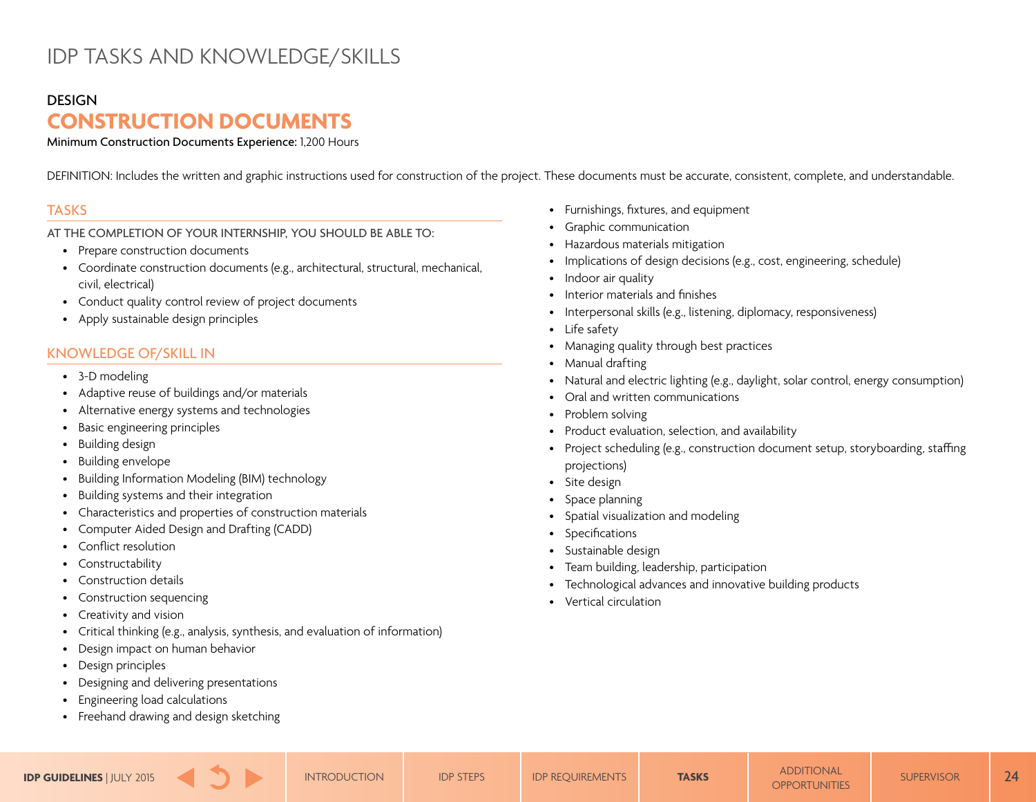### <span id="page-23-0"></span>**DESIGN**

# **CONSTRUCTION DOCUMENTS**

Minimum Construction Documents Experience: 1,200 Hours

DEFINITION: Includes the written and graphic instructions used for construction of the project. These documents must be accurate, consistent, complete, and understandable.

### **TASKS**

AT THE COMPLETION OF YOUR INTERNSHIP, YOU SHOULD BE ABLE TO:

- Prepare construction documents
- Coordinate construction documents (e.g., architectural, structural, mechanical, civil, electrical)
- Conduct quality control review of project documents
- Apply sustainable design principles

# KNOWLEDGE OF/SKILL IN

- 3-D modeling
- Adaptive reuse of buildings and/or materials
- Alternative energy systems and technologies
- Basic engineering principles
- Building design
- Building envelope
- Building Information Modeling (BIM) technology
- Building systems and their integration
- Characteristics and properties of construction materials
- Computer Aided Design and Drafting (CADD)
- Conflict resolution
- Constructability
- Construction details
- Construction sequencing
- Creativity and vision
- Critical thinking (e.g., analysis, synthesis, and evaluation of information)
- Design impact on human behavior
- Design principles
- Designing and delivering presentations
- Engineering load calculations
- Freehand drawing and design sketching
- Furnishings, fixtures, and equipment
- Graphic communication
- Hazardous materials mitigation
- Implications of design decisions (e.g., cost, engineering, schedule)
- Indoor air quality
- Interior materials and finishes
- Interpersonal skills (e.g., listening, diplomacy, responsiveness)
- Life safety
- Managing quality through best practices
- Manual drafting
- Natural and electric lighting (e.g., daylight, solar control, energy consumption)
- Oral and written communications
- Problem solving
- Product evaluation, selection, and availability
- Project scheduling (e.g., construction document setup, storyboarding, staffing projections)
- Site design
- Space planning
- Spatial visualization and modeling
- **Specifications**
- Sustainable design
- Team building, leadership, participation
- Technological advances and innovative building products
- Vertical circulation

ADDITIONAL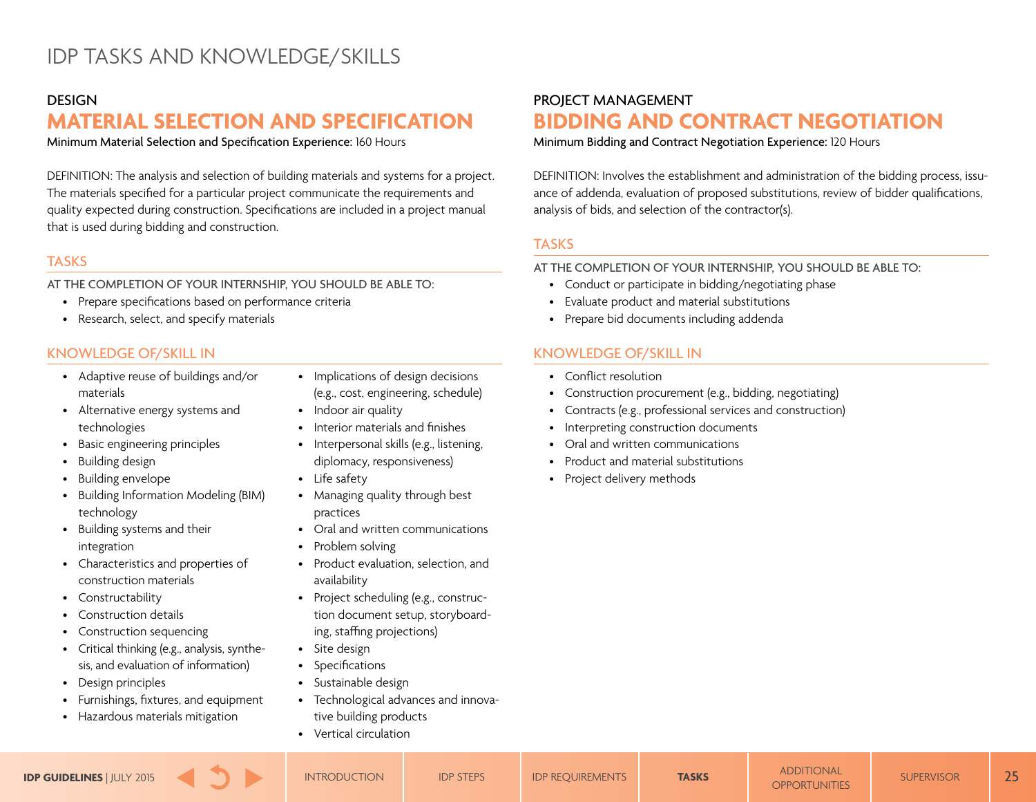### <span id="page-24-0"></span>**DESIGN**

# **MATERIAL SELECTION AND SPECIFICATION**

Minimum Material Selection and Specification Experience: 160 Hours

DEFINITION: The analysis and selection of building materials and systems for a project. The materials specified for a particular project communicate the requirements and quality expected during construction. Specifications are included in a project manual that is used during bidding and construction.

### **TASKS**

AT THE COMPLETION OF YOUR INTERNSHIP, YOU SHOULD BE ABLE TO:

- Prepare specifications based on performance criteria
- Research, select, and specify materials

# KNOWLEDGE OF/SKILL IN

- Adaptive reuse of buildings and/or materials
- Alternative energy systems and technologies
- Basic engineering principles
- Building design
- Building envelope
- Building Information Modeling (BIM) technology
- Building systems and their integration
- Characteristics and properties of construction materials
- Constructability
- Construction details
- Construction sequencing
- Critical thinking (e.g., analysis, synthesis, and evaluation of information)
- Design principles
- Furnishings, fixtures, and equipment
- Hazardous materials mitigation
- Implications of design decisions (e.g., cost, engineering, schedule)
- Indoor air quality
- Interior materials and finishes
- Interpersonal skills (e.g., listening, diplomacy, responsiveness)
- Life safety
- Managing quality through best practices
- Oral and written communications
- Problem solving
- Product evaluation, selection, and availability
- Project scheduling (e.g., construction document setup, storyboarding, staffing projections)
- Site design
- **Specifications**
- Sustainable design
- Technological advances and innova-
- tive building products
- Vertical circulation

# PROJECT MANAGEMENT **BIDDING AND CONTRACT NEGOTIATION**

Minimum Bidding and Contract Negotiation Experience: 120 Hours

DEFINITION: Involves the establishment and administration of the bidding process, issuance of addenda, evaluation of proposed substitutions, review of bidder qualifications, analysis of bids, and selection of the contractor(s).

### **TASKS**

AT THE COMPLETION OF YOUR INTERNSHIP, YOU SHOULD BE ABLE TO:

- Conduct or participate in bidding/negotiating phase
- Evaluate product and material substitutions
- Prepare bid documents including addenda

- Conflict resolution
- Construction procurement (e.g., bidding, negotiating)
- Contracts (e.g., professional services and construction)
- Interpreting construction documents
- Oral and written communications
- Product and material substitutions
- Project delivery methods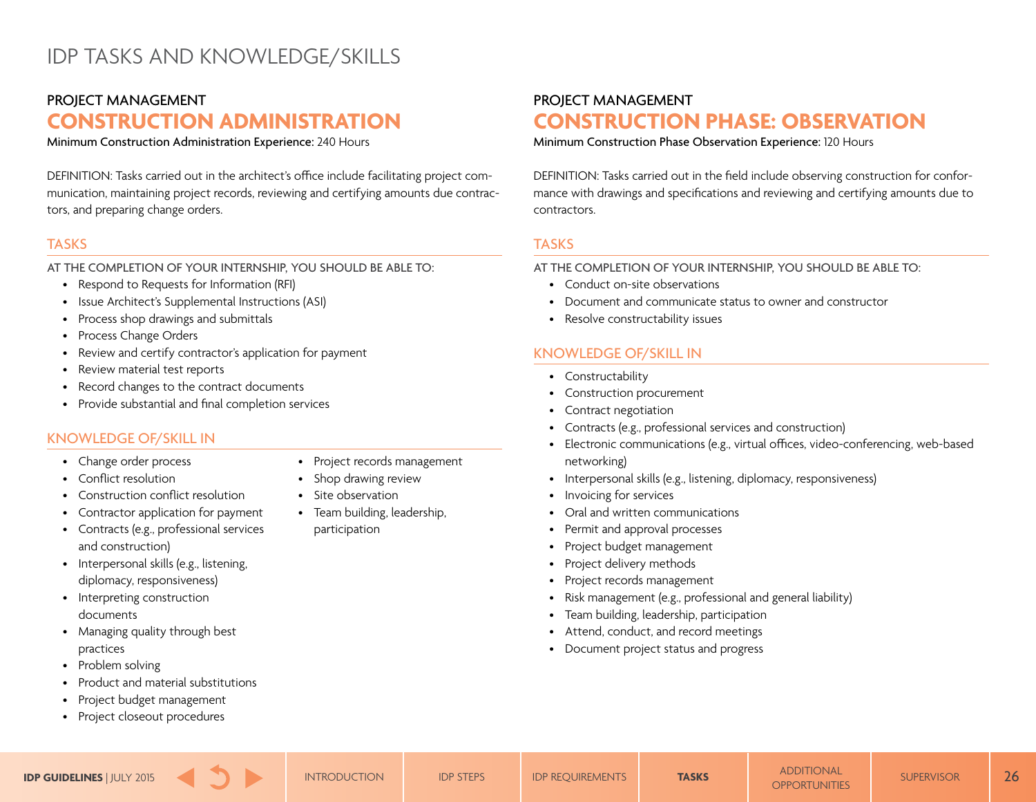# <span id="page-25-0"></span>PROJECT MANAGEMENT **CONSTRUCTION ADMINISTRATION**

Minimum Construction Administration Experience: 240 Hours

DEFINITION: Tasks carried out in the architect's office include facilitating project communication, maintaining project records, reviewing and certifying amounts due contractors, and preparing change orders.

### **TASKS**

AT THE COMPLETION OF YOUR INTERNSHIP, YOU SHOULD BE ABLE TO:

- Respond to Requests for Information (RFI)
- Issue Architect's Supplemental Instructions (ASI)
- Process shop drawings and submittals
- Process Change Orders
- Review and certify contractor's application for payment
- Review material test reports
- Record changes to the contract documents
- Provide substantial and final completion services

# KNOWLEDGE OF/SKILL IN

- Change order process
- Conflict resolution
- Construction conflict resolution
- Contractor application for payment
- Contracts (e.g., professional services and construction)
- Interpersonal skills (e.g., listening, diplomacy, responsiveness)
- Interpreting construction documents
- Managing quality through best practices
- Problem solving
- Product and material substitutions
- Project budget management
- Project closeout procedures
- Project records management
- Shop drawing review
- Site observation
- Team building, leadership, participation

# PROJECT MANAGEMENT **CONSTRUCTION PHASE: OBSERVATION**

Minimum Construction Phase Observation Experience: 120 Hours

DEFINITION: Tasks carried out in the field include observing construction for conformance with drawings and specifications and reviewing and certifying amounts due to contractors.

# **TASKS**

AT THE COMPLETION OF YOUR INTERNSHIP, YOU SHOULD BE ABLE TO:

- Conduct on-site observations
- Document and communicate status to owner and constructor
- Resolve constructability issues

# KNOWLEDGE OF/SKILL IN

- Constructability
- Construction procurement
- Contract negotiation
- Contracts (e.g., professional services and construction)
- Electronic communications (e.g., virtual offices, video-conferencing, web-based networking)
- Interpersonal skills (e.g., listening, diplomacy, responsiveness)
- Invoicing for services
- Oral and written communications
- Permit and approval processes
- Project budget management
- Project delivery methods
- Project records management
- Risk management (e.g., professional and general liability)
- Team building, leadership, participation
- Attend, conduct, and record meetings
- Document project status and progress

ADDITIONAL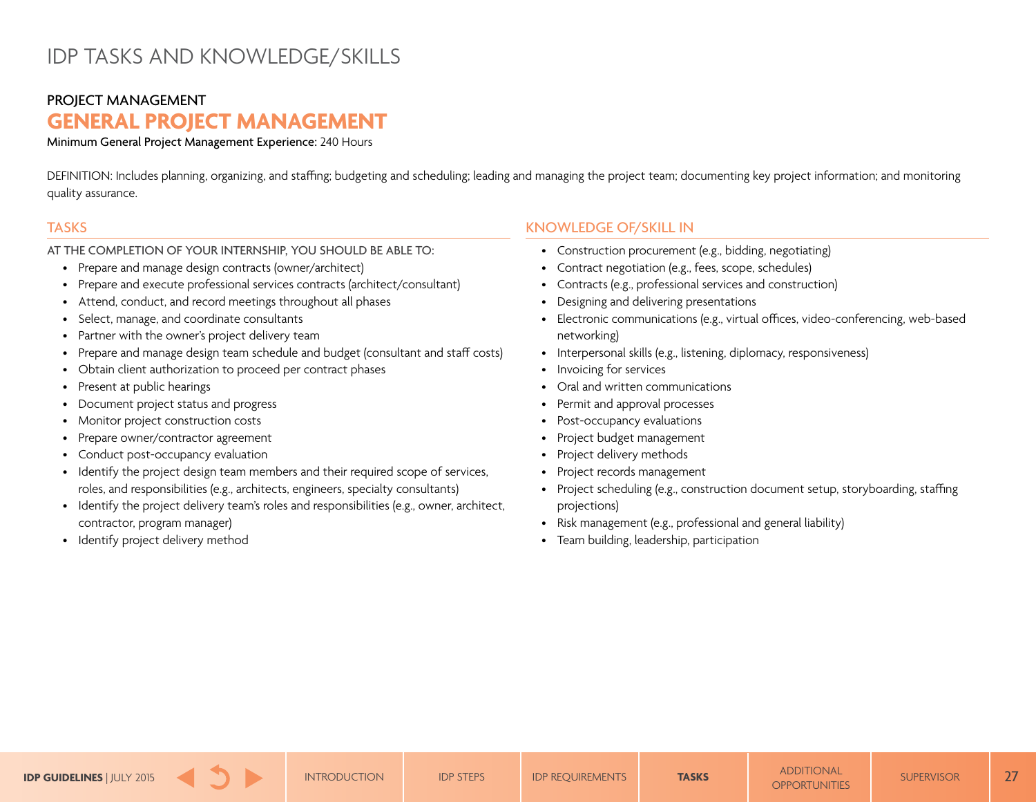# <span id="page-26-0"></span>PROJECT MANAGEMENT **GENERAL PROJECT MANAGEMENT**

Minimum General Project Management Experience: 240 Hours

DEFINITION: Includes planning, organizing, and staffing; budgeting and scheduling; leading and managing the project team; documenting key project information; and monitoring quality assurance.

### **TASKS**

AT THE COMPLETION OF YOUR INTERNSHIP, YOU SHOULD BE ABLE TO:

- Prepare and manage design contracts (owner/architect)
- Prepare and execute professional services contracts (architect/consultant)
- Attend, conduct, and record meetings throughout all phases
- Select, manage, and coordinate consultants
- Partner with the owner's project delivery team
- Prepare and manage design team schedule and budget (consultant and staff costs)
- Obtain client authorization to proceed per contract phases
- Present at public hearings
- Document project status and progress
- Monitor project construction costs
- Prepare owner/contractor agreement
- Conduct post-occupancy evaluation
- Identify the project design team members and their required scope of services, roles, and responsibilities (e.g., architects, engineers, specialty consultants)
- Identify the project delivery team's roles and responsibilities (e.g., owner, architect, contractor, program manager)
- Identify project delivery method

- Construction procurement (e.g., bidding, negotiating)
- Contract negotiation (e.g., fees, scope, schedules)
- Contracts (e.g., professional services and construction)
- Designing and delivering presentations
- Electronic communications (e.g., virtual offices, video-conferencing, web-based networking)
- Interpersonal skills (e.g., listening, diplomacy, responsiveness)
- Invoicing for services
- Oral and written communications
- Permit and approval processes
- Post-occupancy evaluations
- Project budget management
- Project delivery methods
- Project records management
- Project scheduling (e.g., construction document setup, storyboarding, staffing projections)
- Risk management (e.g., professional and general liability)
- Team building, leadership, participation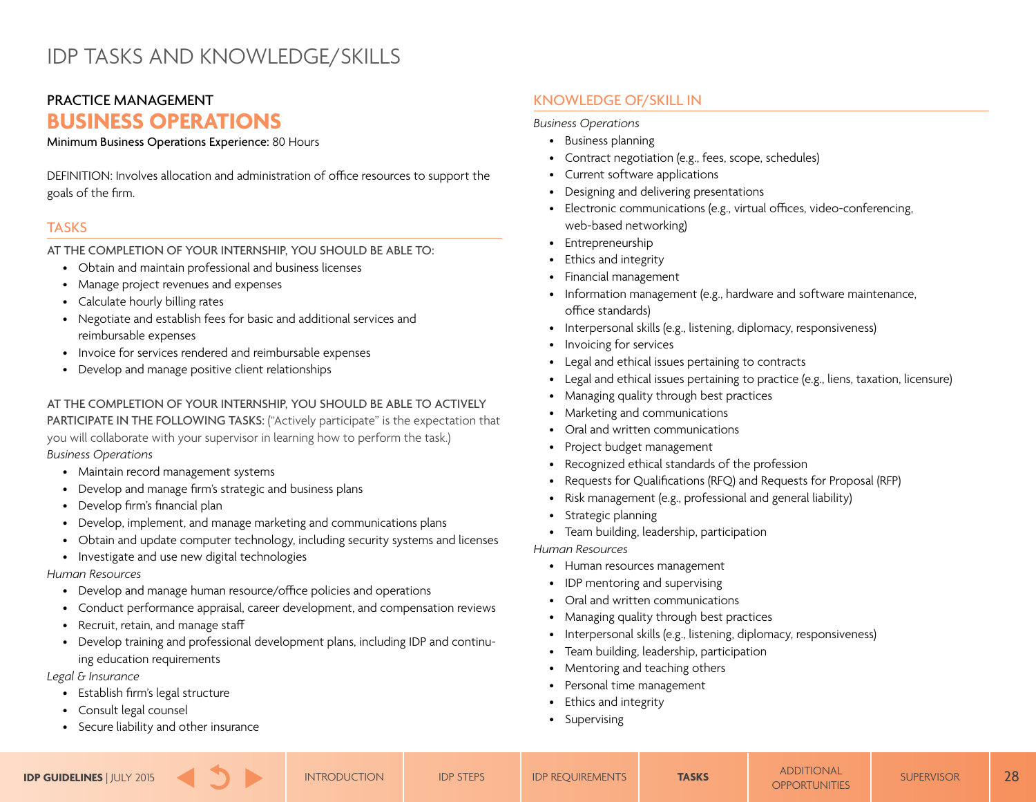# <span id="page-27-0"></span>PRACTICE MANAGEMENT **BUSINESS OPERATIONS**

#### Minimum Business Operations Experience: 80 Hours

DEFINITION: Involves allocation and administration of office resources to support the goals of the firm.

### **TASKS**

AT THE COMPLETION OF YOUR INTERNSHIP, YOU SHOULD BE ABLE TO:

- Obtain and maintain professional and business licenses
- Manage project revenues and expenses
- Calculate hourly billing rates
- Negotiate and establish fees for basic and additional services and reimbursable expenses
- Invoice for services rendered and reimbursable expenses
- Develop and manage positive client relationships

AT THE COMPLETION OF YOUR INTERNSHIP, YOU SHOULD BE ABLE TO ACTIVELY PARTICIPATE IN THE FOLLOWING TASKS: ("Actively participate" is the expectation that you will collaborate with your supervisor in learning how to perform the task.) *Business Operations*

- Maintain record management systems
- Develop and manage firm's strategic and business plans
- Develop firm's financial plan
- Develop, implement, and manage marketing and communications plans
- Obtain and update computer technology, including security systems and licenses
- Investigate and use new digital technologies

#### *Human Resources*

- Develop and manage human resource/office policies and operations
- Conduct performance appraisal, career development, and compensation reviews
- Recruit, retain, and manage staff
- Develop training and professional development plans, including IDP and continuing education requirements

*Legal & Insurance*

- Establish firm's legal structure
- Consult legal counsel
- Secure liability and other insurance

### KNOWLEDGE OF/SKILL IN

#### *Business Operations*

- Business planning
- Contract negotiation (e.g., fees, scope, schedules)
- Current software applications
- Designing and delivering presentations
- Electronic communications (e.g., virtual offices, video-conferencing, web-based networking)
- Entrepreneurship
- Ethics and integrity
- Financial management
- Information management (e.g., hardware and software maintenance, office standards)
- Interpersonal skills (e.g., listening, diplomacy, responsiveness)
- Invoicing for services
- Legal and ethical issues pertaining to contracts
- Legal and ethical issues pertaining to practice (e.g., liens, taxation, licensure)
- Managing quality through best practices
- Marketing and communications
- Oral and written communications
- Project budget management
- Recognized ethical standards of the profession
- Requests for Qualifications (RFQ) and Requests for Proposal (RFP)
- Risk management (e.g., professional and general liability)
- Strategic planning
- Team building, leadership, participation

*Human Resources*

- Human resources management
- IDP mentoring and supervising
- Oral and written communications
- Managing quality through best practices
- Interpersonal skills (e.g., listening, diplomacy, responsiveness)
- Team building, leadership, participation
- Mentoring and teaching others
- Personal time management
- Ethics and integrity
- Supervising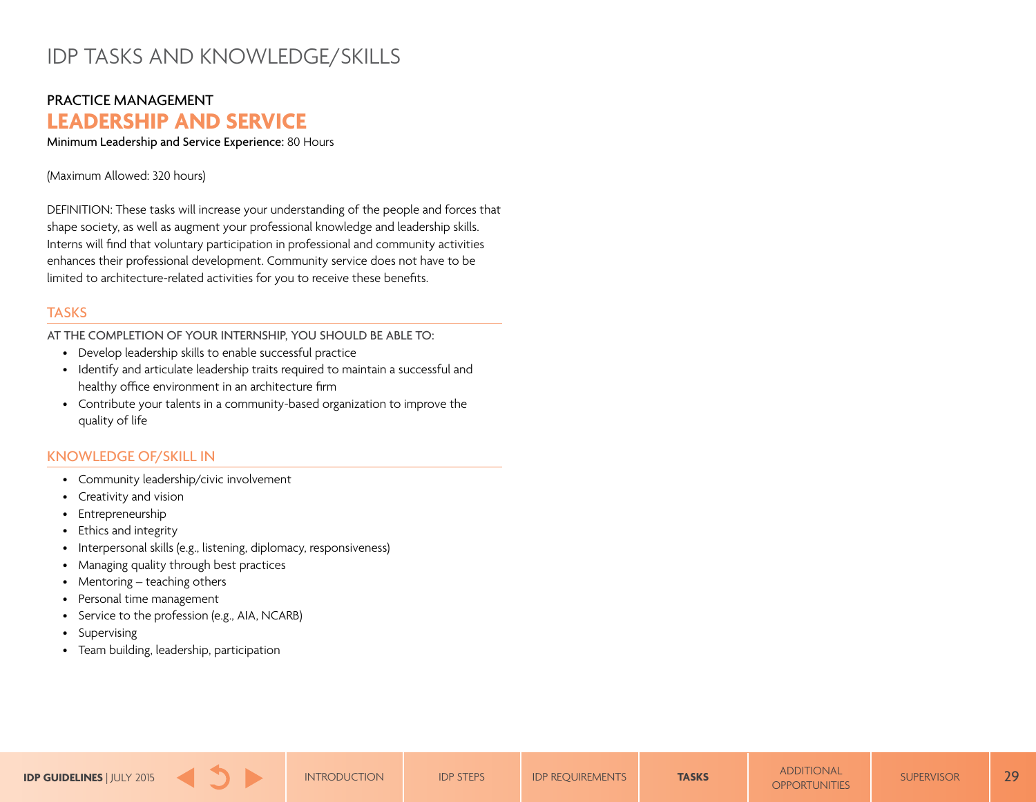# <span id="page-28-0"></span>PRACTICE MANAGEMENT **LEADERSHIP AND SERVICE**

Minimum Leadership and Service Experience: 80 Hours

#### (Maximum Allowed: 320 hours)

DEFINITION: These tasks will increase your understanding of the people and forces that shape society, as well as augment your professional knowledge and leadership skills. Interns will find that voluntary participation in professional and community activities enhances their professional development. Community service does not have to be limited to architecture-related activities for you to receive these benefits.

### **TASKS**

AT THE COMPLETION OF YOUR INTERNSHIP, YOU SHOULD BE ABLE TO:

- Develop leadership skills to enable successful practice
- Identify and articulate leadership traits required to maintain a successful and healthy office environment in an architecture firm
- Contribute your talents in a community-based organization to improve the quality of life

- Community leadership/civic involvement
- Creativity and vision
- Entrepreneurship
- Ethics and integrity
- Interpersonal skills (e.g., listening, diplomacy, responsiveness)
- Managing quality through best practices
- Mentoring teaching others
- Personal time management
- Service to the profession (e.g., AIA, NCARB)
- Supervising
- Team building, leadership, participation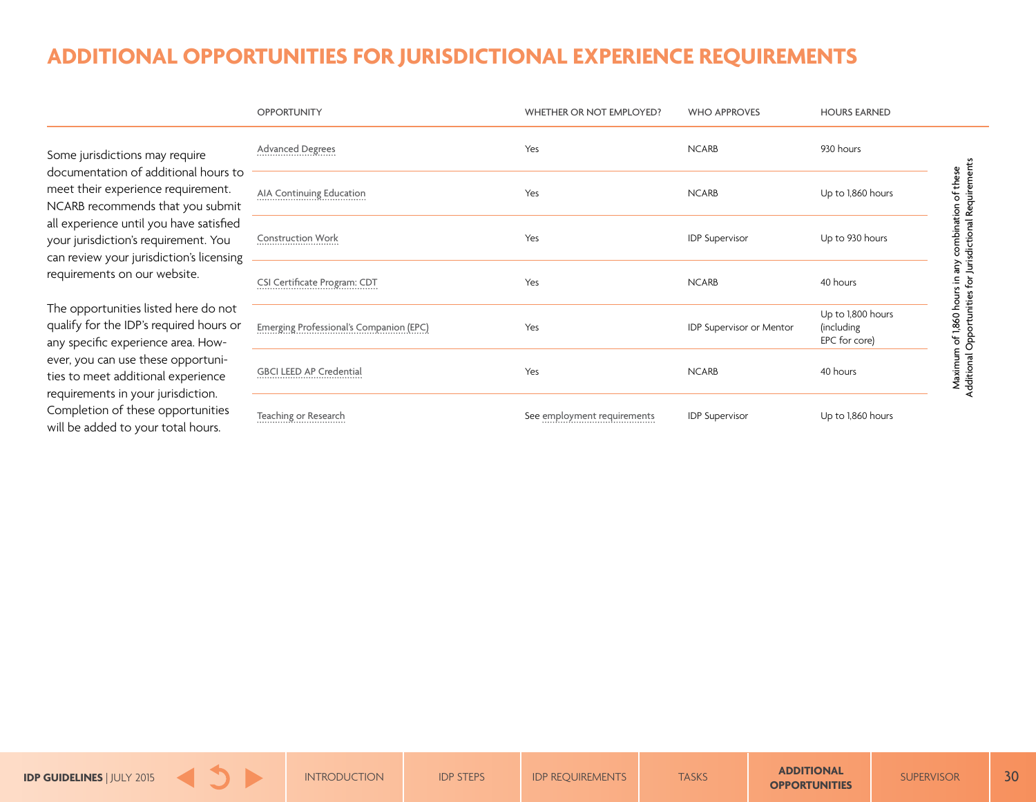<span id="page-29-0"></span>Some jurisdictions may require documentation of additional hours to meet their experience requirement. NCARB recommends that you submit all experience until you have satisfied your jurisdiction's requirement. You can review your jurisdiction's licensing requirements on our website.

The opportunities listed here do not qualify for the IDP's required hours or any specific experience area. However, you can use these opportunities to meet additional experience requirements in your jurisdiction. Completion of these opportunities will be added to your total hours.

| <b>OPPORTUNITY</b>                      | WHETHER OR NOT EMPLOYED?    | <b>WHO APPROVES</b>      | <b>HOURS EARNED</b>                              |                               |  |
|-----------------------------------------|-----------------------------|--------------------------|--------------------------------------------------|-------------------------------|--|
| Advanced Degrees                        | Yes                         | <b>NCARB</b>             | 930 hours                                        |                               |  |
| AIA Continuing Education                | Yes                         | <b>NCARB</b>             | Up to 1,860 hours                                | combination of these          |  |
| Construction Work                       | Yes                         | <b>IDP Supervisor</b>    | Up to 930 hours                                  |                               |  |
| CSI Certificate Program: CDT            | Yes                         | <b>NCARB</b>             | 40 hours                                         |                               |  |
| Emerging Professional's Companion (EPC) | Yes                         | IDP Supervisor or Mentor | Up to 1,800 hours<br>(including<br>EPC for core) | Maximum of 1,860 hours in any |  |
| GBCI LEED AP Credential                 | Yes                         | <b>NCARB</b>             | 40 hours                                         |                               |  |
| Teaching or Research                    | See employment requirements | <b>IDP Supervisor</b>    | Up to 1,860 hours                                |                               |  |

**ADDITIONAL**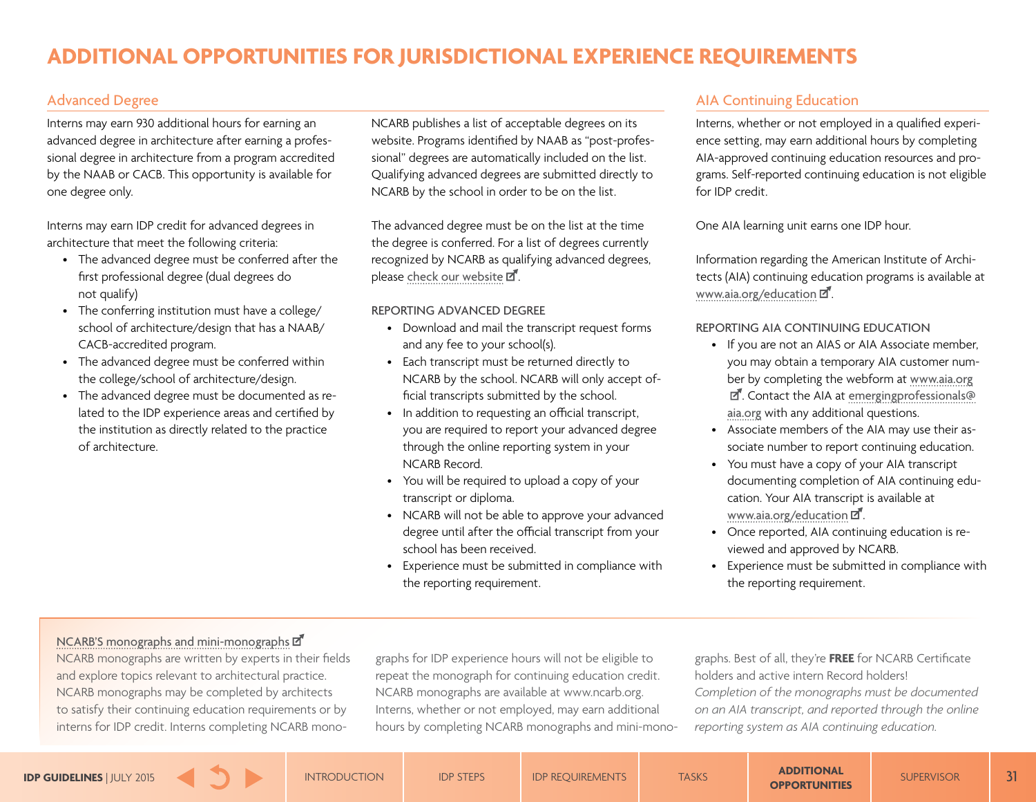# <span id="page-30-0"></span>Advanced Degree

Interns may earn 930 additional hours for earning an advanced degree in architecture after earning a professional degree in architecture from a program accredited by the NAAB or CACB. This opportunity is available for one degree only.

Interns may earn IDP credit for advanced degrees in architecture that meet the following criteria:

- The advanced degree must be conferred after the first professional degree (dual degrees do not qualify)
- The conferring institution must have a college/ school of architecture/design that has a NAAB/ CACB-accredited program.
- The advanced degree must be conferred within the college/school of architecture/design.
- The advanced degree must be documented as related to the IDP experience areas and certified by the institution as directly related to the practice of architecture.

NCARB publishes a list of acceptable degrees on its website. Programs identified by NAAB as "post-professional" degrees are automatically included on the list. Qualifying advanced degrees are submitted directly to NCARB by the school in order to be on the list.

The advanced degree must be on the list at the time the degree is conferred. For a list of degrees currently recognized by NCARB as qualifying advanced degrees, please [check our website](http://www.ncarb.org/Experience-Through-Internships/IDP2-Experience-Settings/IDP2-Supplemental-Experience-Elective/Post-Professional-Degrees-Overview/Post-Professional-Degree-Programs.aspx)  $\vec{\mathbf{Z}}$ .

REPORTING ADVANCED DEGREE

- Download and mail the transcript request forms and any fee to your school(s).
- Each transcript must be returned directly to NCARB by the school. NCARB will only accept official transcripts submitted by the school.
- In addition to requesting an official transcript, you are required to report your advanced degree through the online reporting system in your NCARB Record.
- You will be required to upload a copy of your transcript or diploma.
- NCARB will not be able to approve your advanced degree until after the official transcript from your school has been received.
- Experience must be submitted in compliance with the [reporting requirement.](#page-8-0)

# AIA Continuing Education

Interns, whether or not employed in a qualified experience setting, may earn additional hours by completing AIA-approved continuing education resources and programs. Self-reported continuing education is not eligible for IDP credit.

One AIA learning unit earns one IDP hour.

Information regarding the American Institute of Architects (AIA) continuing education programs is available at [www.aia.org](http://www.aia.org/education/)/education  $\vec{\mathbf{Z}}$ .

#### REPORTING AIA CONTINUING EDUCATION

- If you are not an AIAS or AIA Associate member, you may obtain a temporary AIA customer number by completing the webform at www.aia.org ■. Contact the AIA at [emergingprofessionals@](mailto:emergingprofessionals%40aia.org?subject=) [aia.org](mailto:emergingprofessionals%40aia.org?subject=) with any additional questions.
- Associate members of the AIA may use their associate number to report continuing education.
- You must have a copy of your AIA transcript documenting completion of AIA continuing education. Your AIA transcript is available at [www.aia.org/education](http://www.aia.org/education/)  $\vec{a}$ .
- Once reported, AIA continuing education is reviewed and approved by NCARB.
- Experience must be submitted in compliance with the [reporting requirement.](#page-8-0)

# **[NCARB'S monographs and mini-monographs](https://monographs.ncarb.org/) d'**

NCARB monographs are written by experts in their fields and explore topics relevant to architectural practice. NCARB monographs may be completed by architects to satisfy their continuing education requirements or by interns for IDP credit. Interns completing NCARB monographs for IDP experience hours will not be eligible to repeat the monograph for continuing education credit. NCARB monographs are available at www.ncarb.org. Interns, whether or not employed, may earn additional hours by completing NCARB monographs and mini-monographs. Best of all, they're **FREE** for NCARB Certificate holders and active intern Record holders! *Completion of the monographs must be documented on an AIA transcript, and reported through the online reporting system as AIA continuing education.*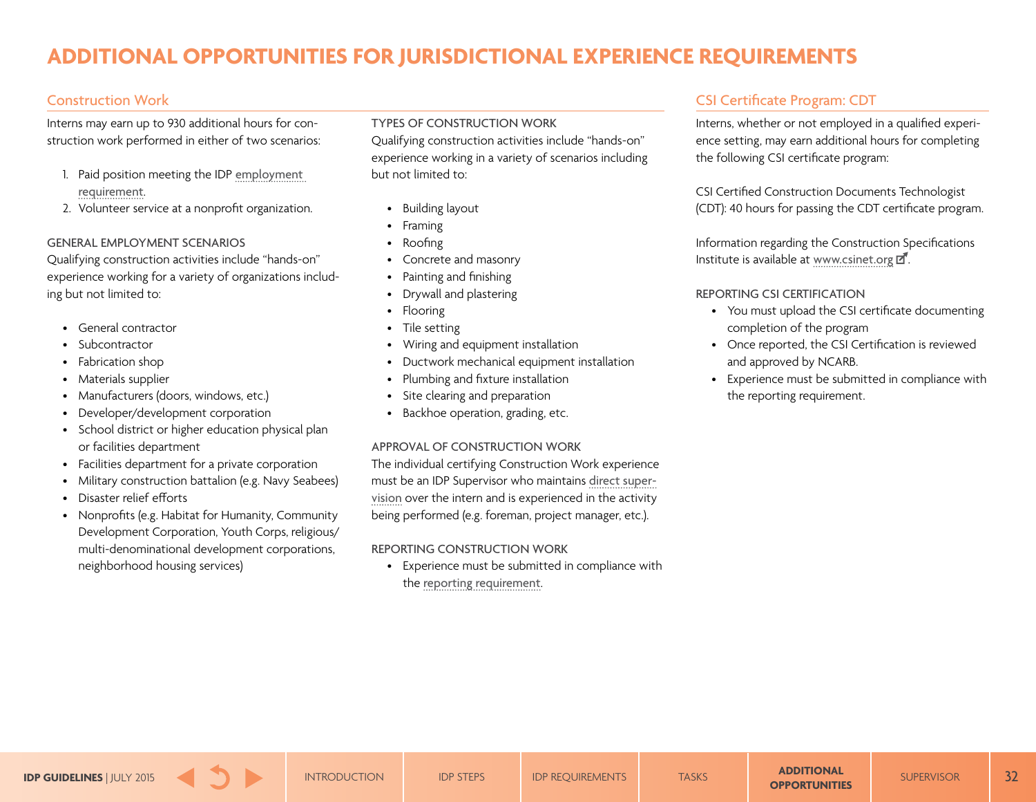### <span id="page-31-0"></span>Construction Work

Interns may earn up to 930 additional hours for construction work performed in either of two scenarios:

- 1. Paid position meeting the IDP [employment](#page-8-0)  [requirement](#page-8-0).
- 2. Volunteer service at a nonprofit organization.

#### GENERAL EMPLOYMENT SCENARIOS

Qualifying construction activities include "hands-on" experience working for a variety of organizations including but not limited to:

- General contractor
- Subcontractor
- Fabrication shop
- Materials supplier
- Manufacturers (doors, windows, etc.)
- Developer/development corporation
- School district or higher education physical plan or facilities department
- Facilities department for a private corporation
- Military construction battalion (e.g. Navy Seabees)
- Disaster relief efforts
- Nonprofits (e.g. Habitat for Humanity, Community Development Corporation, Youth Corps, religious/ multi-denominational development corporations, neighborhood housing services)

TYPES OF CONSTRUCTION WORK Qualifying construction activities include "hands-on" experience working in a variety of scenarios including but not limited to:

- Building layout
- Framing
- Roofing
- Concrete and masonry
- Painting and finishing
- Drywall and plastering
- Flooring
- Tile setting
- Wiring and equipment installation
- Ductwork mechanical equipment installation
- Plumbing and fixture installation
- Site clearing and preparation
- Backhoe operation, grading, etc.

#### APPROVAL OF CONSTRUCTION WORK

The individual certifying Construction Work experience must be an IDP Supervisor who maintains [direct super](#page-10-0)[vision](#page-10-0) over the intern and is experienced in the activity being performed (e.g. foreman, project manager, etc.).

#### REPORTING CONSTRUCTION WORK

• Experience must be submitted in compliance with the [reporting requirement](#page-8-0).

# CSI Certificate Program: CDT

Interns, whether or not employed in a qualified experience setting, may earn additional hours for completing the following CSI certificate program:

CSI Certified Construction Documents Technologist (CDT): 40 hours for passing the CDT certificate program.

Information regarding the Construction Specifications Institute is available at www.csinet.org  $\vec{a}$ .

#### REPORTING CSI CERTIFICATION

- You must upload the CSI certificate documenting completion of the program
- Once reported, the CSI Certification is reviewed and approved by NCARB.
- Experience must be submitted in compliance with the [reporting requirement.](#page-8-0)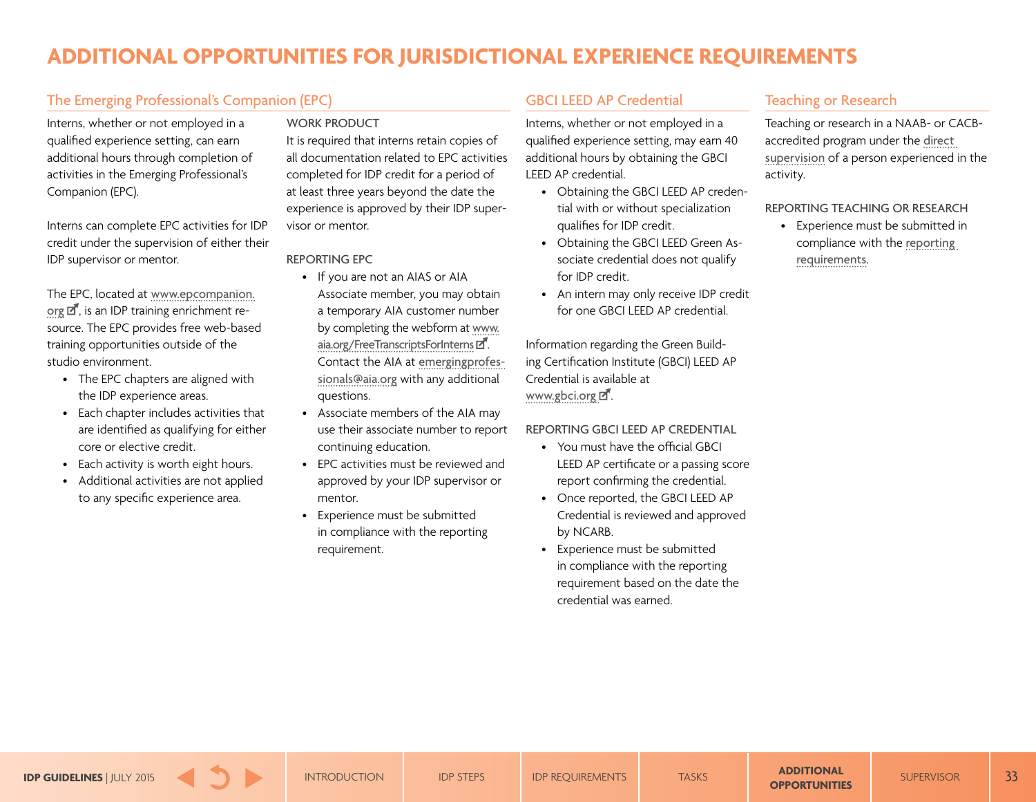# <span id="page-32-0"></span>The Emerging Professional's Companion (EPC)

Interns, whether or not employed in a qualified experience setting, can earn additional hours through completion of activities in the Emerging Professional's Companion (EPC).

Interns can complete EPC activities for IDP credit under the supervision of either their IDP supervisor or mentor.

The EPC, located at [www.epcompanion.](http://www.epcompanion.org) [org](http://www.epcompanion.org)  $\mathbb{Z}$ , is an IDP training enrichment resource. The EPC provides free web-based training opportunities outside of the studio environment.

- The EPC chapters are aligned with the IDP experience areas.
- Each chapter includes activities that are identified as qualifying for either core or elective credit.
- Each activity is worth eight hours.
- Additional activities are not applied to any specific experience area.

#### WORK PRODUCT

It is required that interns retain copies of all documentation related to EPC activities completed for IDP credit for a period of at least three years beyond the date the experience is approved by their IDP supervisor or mentor.

#### REPORTING EPC

- If you are not an AIAS or AIA Associate member, you may obtain a temporary AIA customer number by completing the webform at www. aia.org/FreeTran[s](www.aia.org/FreeTranscriptsForInterns)criptsForInterns Contact the AIA at [emergingprofes](mailto:emergingprofessionals%40aia.org?subject=)[sionals@aia.org](mailto:emergingprofessionals%40aia.org?subject=) with any additional questions.
- Associate members of the AIA may use their associate number to report continuing education.
- EPC activities must be reviewed and approved by your IDP supervisor or mentor.
- Experience must be submitted in compliance with the [reporting](#page-8-0)  [requirement.](#page-8-0)

### GBCI LEED AP Credential

Interns, whether or not employed in a qualified experience setting, may earn 40 additional hours by obtaining the GBCI LEED AP credential.

- Obtaining the GBCI LEED AP credential with or without specialization qualifies for IDP credit.
- Obtaining the GBCI LEED Green Associate credential does not qualify for IDP credit.
- An intern may only receive IDP credit for one GBCLLEED AP credential.

Information regarding the Green Building Certification Institute (GBCI) LEED AP Credential is available at [www.gbci.org](http://www.gbci.org)  $\mathbb{Z}$ .

#### REPORTING GBCI LEED AP CREDENTIAL

- You must have the official GBCI LEED AP certificate or a passing score report confirming the credential.
- Once reported, the GBCI LEED AP Credential is reviewed and approved by NCARB.
- Experience must be submitted in compliance with the [reporting](#page-8-0)  [requirement](#page-8-0) based on the date the credential was earned.

# Teaching or Research

Teaching or research in a NAAB- or CACBaccredited program under the [direct](#page-10-0)  [supervision](#page-10-0) of a person experienced in the activity.

#### REPORTING TEACHING OR RESEARCH

• Experience must be submitted in compliance with the [reporting](#page-8-0)  [requirements](#page-8-0).

**[IDP GUIDELINES](#page-0-0)** | JULY 2015 **[IDP STEPS](#page-5-0)** IDP STEPS [IDP REQUIREMENTS](#page-8-0) [TASKS](#page-17-0) **[OPPORTUNITIES](#page-29-0)** [SUPERVISOR](#page-33-0) 33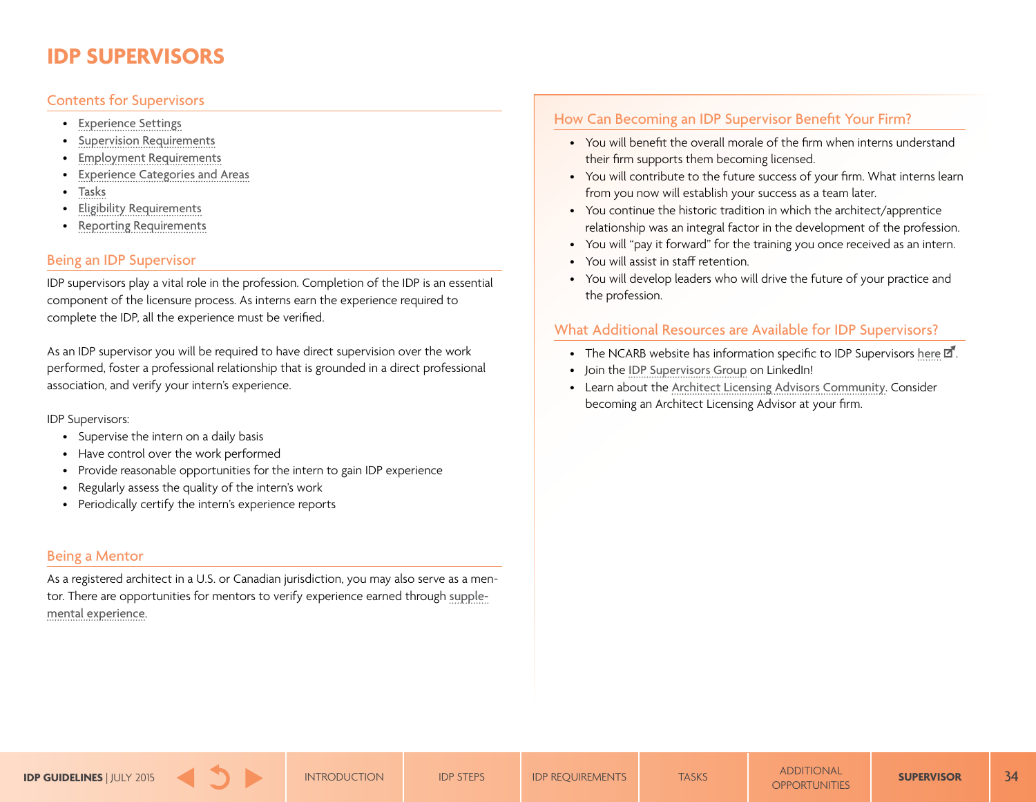# <span id="page-33-0"></span>**IDP SUPERVISORS**

# Contents for Supervisors

- [Experience Settings](#page-9-0)
- [Supervision Requirements](#page-10-0)
- **[Employment Requirements](#page-8-0)**
- **[Experience Categories and Areas](#page-11-0)**
- [Tasks](#page-17-0)
- [Eligibility Requirements](#page-8-0)
- [Reporting Requirements](#page-8-0)

### Being an IDP Supervisor

IDP supervisors play a vital role in the profession. Completion of the IDP is an essential component of the licensure process. As interns earn the experience required to complete the IDP, all the experience must be verified.

As an IDP supervisor you will be required to have direct supervision over the work performed, foster a professional relationship that is grounded in a direct professional association, and verify your intern's experience.

IDP Supervisors:

- Supervise the intern on a daily basis
- Have control over the work performed
- Provide reasonable opportunities for the intern to gain IDP experience
- Regularly assess the quality of the intern's work
- Periodically certify the intern's experience reports

### Being a Mentor

As a registered architect in a U.S. or Canadian jurisdiction, you may also serve as a mentor. There are opportunities for mentors to verify experience earned through [supple](#page-12-0)[mental experience](#page-12-0).

# How Can Becoming an IDP Supervisor Benefit Your Firm?

- You will benefit the overall morale of the firm when interns understand their firm supports them becoming licensed.
- You will contribute to the future success of your firm. What interns learn from you now will establish your success as a team later.
- You continue the historic tradition in which the architect/apprentice relationship was an integral factor in the development of the profession.
- You will "pay it forward" for the training you once received as an intern.
- You will assist in staff retention.
- You will develop leaders who will drive the future of your practice and the profession.

# What Additional Resources are Available for IDP Supervisors?

- The NCARB website has information specific to IDP Supervisors [here](http://www.ncarb.org/Experience-Through-Internships/Supervisors-and-Mentors.aspx)  $\mathbb{Z}^{\mathsf{P}}$ .
- Join the [IDP Supervisors Group](https://www.linkedin.com/grp/home?gid=8304393) on LinkedIn!
- Learn about the [Architect Licensing Advisors Community](http://www.ncarb.org/Experience-Through-Internships/IDP-Coordinators.aspx). Consider becoming an Architect Licensing Advisor at your firm.

**[IDP GUIDELINES](#page-0-0)** | JULY 2015 **[IDP STEPS](#page-5-0) IDP STEPS [IDP REQUIREMENTS](#page-8-0)** TASKS TASKS [OPPORTUNITIES](#page-29-0) **SUPERVISOR 34**